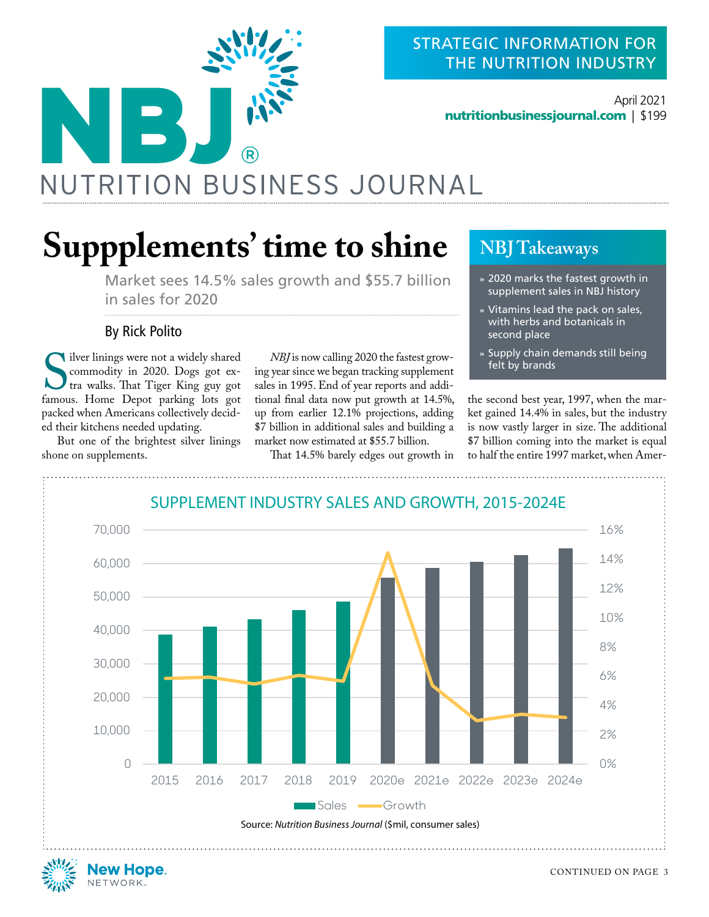<span id="page-0-0"></span>

### STRATEGIC INFORMATION FOR THE NUTRITION INDUSTRY

April 2021 nutritionbusinessjournal.com | \$199

## NUTRITION BUSINESS JOURNAL

## **Suppplements' time to shine**

Market sees 14.5% sales growth and \$55.7 billion in sales for 2020

#### By Rick Polito

SURVINDED THE TRANSITY STATES COMMONLY STATES COMMON COMMON SURVEY AND SURVEY TO A WALK TIGHT THAT THE REPORT OF THE MANUSON CONTROLLER THAT THE DEPTH OF THE MANUSON COMMON SURVEY AND NOT THE DEPAPALMENT OF THE MANUSON COM liver linings were not a widely shared commodity in 2020. Dogs got extra walks. That Tiger King guy got packed when Americans collectively decided their kitchens needed updating.

But one of the brightest silver linings shone on supplements.

*NBJ* is now calling 2020 the fastest growing year since we began tracking supplement sales in 1995. End of year reports and additional final data now put growth at 14.5%, up from earlier 12.1% projections, adding \$7 billion in additional sales and building a market now estimated at \$55.7 billion.

That 14.5% barely edges out growth in

## **NBJ Takeaways**

- **»** 2020 marks the fastest growth in supplement sales in NBJ history
- **»** Vitamins lead the pack on sales, with herbs and botanicals in second place
- **»** Supply chain demands still being felt by brands

the second best year, 1997, when the market gained 14.4% in sales, but the industry is now vastly larger in size. The additional \$7 billion coming into the market is equal to half the entire 1997 market, when Amer-



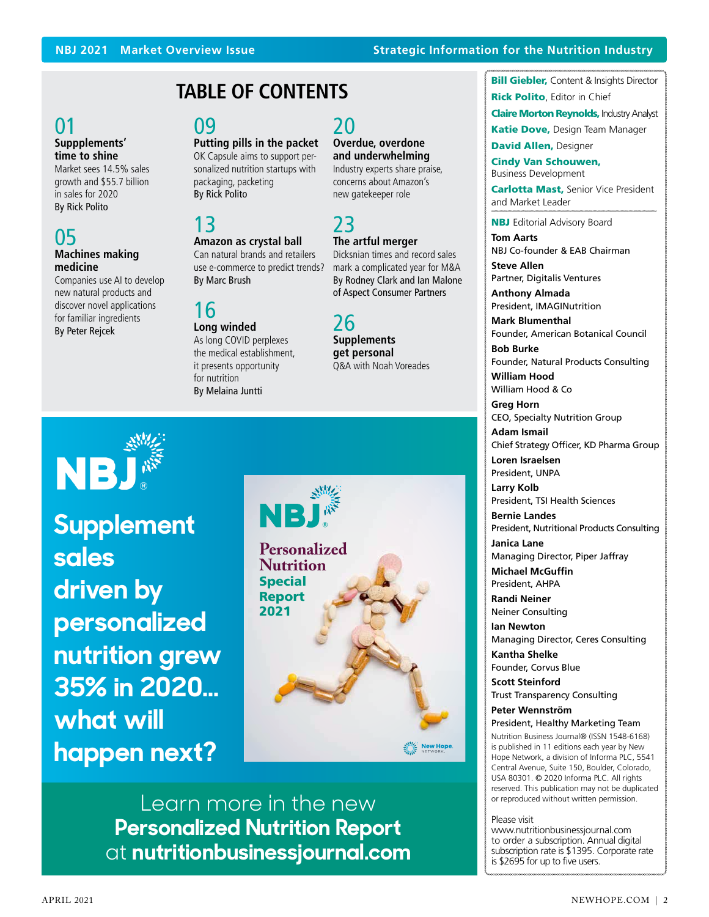#### **NBJ 2021 Market Overview Issue Strategic Information for the Nutrition Industry**

01 **Suppplements' time to shine**

[Market sees 14.5% sales](#page-0-0)  growth and \$55.7 billion in sales for 2020 By Rick Polito

#### 05 **Machines making medicine**

[Companies use AI to develop](#page-4-0)  new natural products and discover novel applications for familiar ingredients By Peter Rejcek

## **TABLE OF CONTENTS**

## 09

**[Putting pills in the packet](#page-8-0)** OK Capsule aims to support personalized nutrition startups with packaging, packeting By Rick Polito

## 13

#### **Amazon as crystal ball**

Can natural brands and retailers [use e-commerce to predict trends?](#page-12-0) By Marc Brush

## 16

**Long winded** As long COVID perplexes [the medical establishment,](#page-15-0)  it presents opportunity for nutrition By Melaina Juntti

#### 20 **Overdue, overdone and underwhelming**

[Industry experts share praise,](#page-19-0)  concerns about Amazon's new gatekeeper role

## 23

**The artful merger** Dicksnian times and record sales mark a complicated year for M&A [By Rodney Clark and Ian Malone](#page-22-0)  of Aspect Consumer Partners

## 26

**Supplements get personal** [Q&A with Noah Voreades](#page-25-0)



**Supplement sales driven by personalized nutrition grew 35% in 2020... what will happen next?**



**Personalized Nutrition** Special Report 2021 New Hope

Learn more in the new **[Personalized Nutrition Report](https://store.newhope.com/products/hemp-special-report)**  at **nutritionbusinessjournal.com** **Bill Giebler, Content & Insights Director** 

Rick Polito, Editor in Chief

**Claire Morton Reynolds, Industry Analyst** 

**Katie Dove, Design Team Manager** David Allen, Designer

Cindy Van Schouwen, Business Development

Carlotta Mast, Senior Vice President and Market Leader

**NBJ** Editorial Advisory Board

**Tom Aarts** NBJ Co-founder & EAB Chairman

**Steve Allen** Partner, Digitalis Ventures

**Anthony Almada** President, IMAGINutrition

**Mark Blumenthal** Founder, American Botanical Council

**Bob Burke** Founder, Natural Products Consulting

**William Hood** William Hood & Co

**Greg Horn** CEO, Specialty Nutrition Group

**Adam Ismail** Chief Strategy Officer, KD Pharma Group

**Loren Israelsen** President, UNPA

**Larry Kolb** President, TSI Health Sciences

**Bernie Landes** President, Nutritional Products Consulting

**Janica Lane** Managing Director, Piper Jaffray

**Michael McGuffin** President, AHPA

**Randi Neiner** Neiner Consulting

**Ian Newton** Managing Director, Ceres Consulting

**Kantha Shelke** Founder, Corvus Blue

**Scott Steinford** Trust Transparency Consulting

**Peter Wennström** President, Healthy Marketing Team

Nutrition Business Journal® (ISSN 1548-6168) is published in 11 editions each year by New Hope Network, a division of Informa PLC, 5541 Central Avenue, Suite 150, Boulder, Colorado, USA 80301. © 2020 Informa PLC. All rights reserved. This publication may not be duplicated or reproduced without written permission.

#### Please visit

www.nutritionbusinessjournal.com to order a subscription. Annual digital subscription rate is \$1395. Corporate rate is \$2695 for up to five users.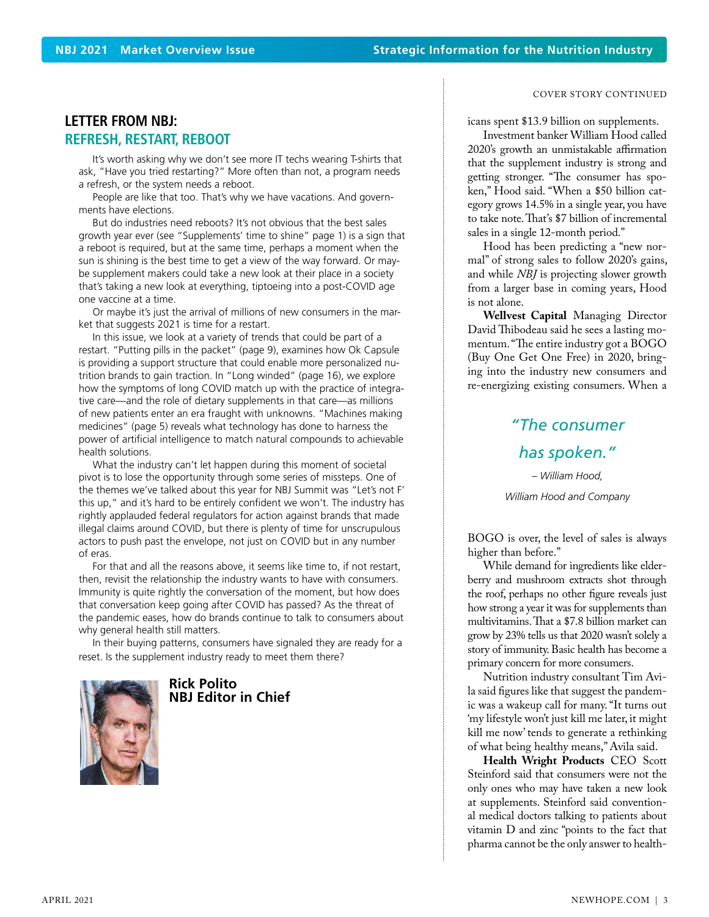#### COVER STORY CONTINUED

### **LETTER FROM NBJ: REFRESH, RESTART, REBOOT**

It's worth asking why we don't see more IT techs wearing T-shirts that ask, "Have you tried restarting?" More often than not, a program needs a refresh, or the system needs a reboot.

People are like that too. That's why we have vacations. And governments have elections.

But do industries need reboots? It's not obvious that the best sales growth year ever (see "Supplements' time to shine" page 1) is a sign that a reboot is required, but at the same time, perhaps a moment when the sun is shining is the best time to get a view of the way forward. Or maybe supplement makers could take a new look at their place in a society that's taking a new look at everything, tiptoeing into a post-COVID age one vaccine at a time.

Or maybe it's just the arrival of millions of new consumers in the market that suggests 2021 is time for a restart.

In this issue, we look at a variety of trends that could be part of a restart. "Putting pills in the packet" (page 9), examines how Ok Capsule is providing a support structure that could enable more personalized nutrition brands to gain traction. In "Long winded" (page 16), we explore how the symptoms of long COVID match up with the practice of integrative care—and the role of dietary supplements in that care—as millions of new patients enter an era fraught with unknowns. "Machines making medicines" (page 5) reveals what technology has done to harness the power of artificial intelligence to match natural compounds to achievable health solutions.

What the industry can't let happen during this moment of societal pivot is to lose the opportunity through some series of missteps. One of the themes we've talked about this year for NBJ Summit was "Let's not F' this up," and it's hard to be entirely confident we won't. The industry has rightly applauded federal regulators for action against brands that made illegal claims around COVID, but there is plenty of time for unscrupulous actors to push past the envelope, not just on COVID but in any number of eras.

For that and all the reasons above, it seems like time to, if not restart, then, revisit the relationship the industry wants to have with consumers. Immunity is quite rightly the conversation of the moment, but how does that conversation keep going after COVID has passed? As the threat of the pandemic eases, how do brands continue to talk to consumers about why general health still matters.

In their buying patterns, consumers have signaled they are ready for a reset. Is the supplement industry ready to meet them there?



**Rick Polito NBJ Editor in Chief** icans spent \$13.9 billion on supplements.

Investment banker William Hood called 2020's growth an unmistakable affirmation that the supplement industry is strong and getting stronger. "The consumer has spoken," Hood said. "When a \$50 billion category grows 14.5% in a single year, you have to take note. That's \$7 billion of incremental sales in a single 12-month period."

Hood has been predicting a "new normal" of strong sales to follow 2020's gains, and while *NBJ* is projecting slower growth from a larger base in coming years, Hood is not alone.

**Wellvest Capital** Managing Director David Thibodeau said he sees a lasting momentum. "The entire industry got a BOGO (Buy One Get One Free) in 2020, bringing into the industry new consumers and re-energizing existing consumers. When a

## *"The consumer has spoken."*

*– William Hood, William Hood and Company*

BOGO is over, the level of sales is always higher than before."

While demand for ingredients like elderberry and mushroom extracts shot through the roof, perhaps no other figure reveals just how strong a year it was for supplements than multivitamins. That a \$7.8 billion market can grow by 23% tells us that 2020 wasn't solely a story of immunity. Basic health has become a primary concern for more consumers.

Nutrition industry consultant Tim Avila said figures like that suggest the pandemic was a wakeup call for many. "It turns out 'my lifestyle won't just kill me later, it might kill me now' tends to generate a rethinking of what being healthy means," Avila said.

**Health Wright Products** CEO Scott Steinford said that consumers were not the only ones who may have taken a new look at supplements. Steinford said conventional medical doctors talking to patients about vitamin D and zinc "points to the fact that pharma cannot be the only answer to health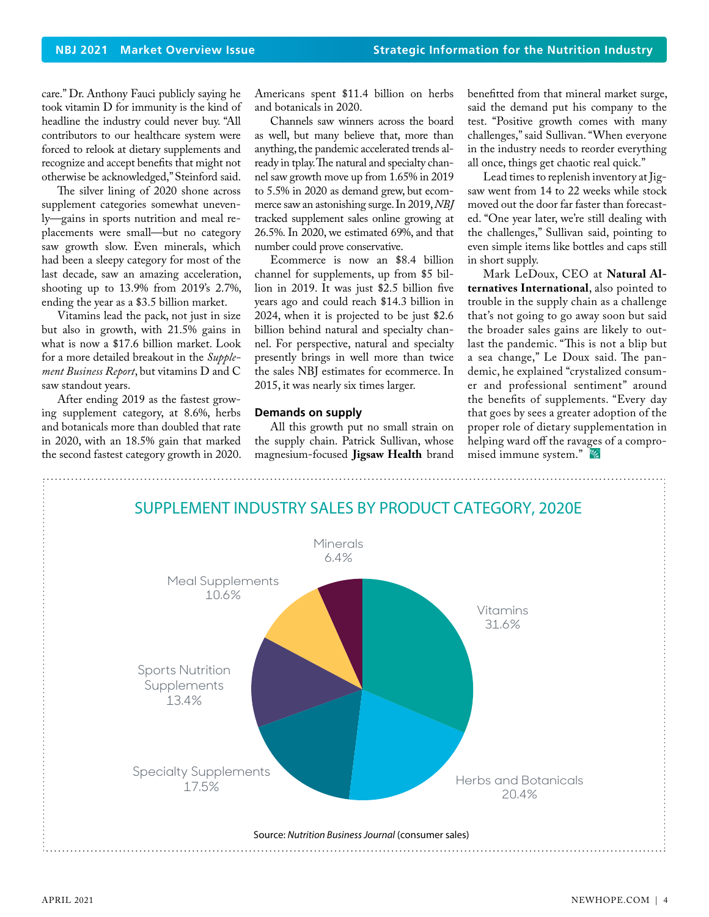care." Dr. Anthony Fauci publicly saying he took vitamin D for immunity is the kind of headline the industry could never buy. "All contributors to our healthcare system were forced to relook at dietary supplements and recognize and accept benefits that might not otherwise be acknowledged," Steinford said.

The silver lining of 2020 shone across supplement categories somewhat unevenly—gains in sports nutrition and meal replacements were small—but no category saw growth slow. Even minerals, which had been a sleepy category for most of the last decade, saw an amazing acceleration, shooting up to 13.9% from 2019's 2.7%, ending the year as a \$3.5 billion market.

Vitamins lead the pack, not just in size but also in growth, with 21.5% gains in what is now a \$17.6 billion market. Look for a more detailed breakout in the *Supplement Business Report*, but vitamins D and C saw standout years.

After ending 2019 as the fastest growing supplement category, at 8.6%, herbs and botanicals more than doubled that rate in 2020, with an 18.5% gain that marked the second fastest category growth in 2020.

Americans spent \$11.4 billion on herbs and botanicals in 2020.

Channels saw winners across the board as well, but many believe that, more than anything, the pandemic accelerated trends already in tplay. The natural and specialty channel saw growth move up from 1.65% in 2019 to 5.5% in 2020 as demand grew, but ecommerce saw an astonishing surge. In 2019, *NBJ* tracked supplement sales online growing at 26.5%. In 2020, we estimated 69%, and that number could prove conservative.

Ecommerce is now an \$8.4 billion channel for supplements, up from \$5 billion in 2019. It was just \$2.5 billion five years ago and could reach \$14.3 billion in 2024, when it is projected to be just \$2.6 billion behind natural and specialty channel. For perspective, natural and specialty presently brings in well more than twice the sales NBJ estimates for ecommerce. In 2015, it was nearly six times larger.

#### **Demands on supply**

All this growth put no small strain on the supply chain. Patrick Sullivan, whose magnesium-focused **Jigsaw Health** brand benefitted from that mineral market surge, said the demand put his company to the test. "Positive growth comes with many challenges," said Sullivan. "When everyone in the industry needs to reorder everything all once, things get chaotic real quick."

Lead times to replenish inventory at Jigsaw went from 14 to 22 weeks while stock moved out the door far faster than forecasted. "One year later, we're still dealing with the challenges," Sullivan said, pointing to even simple items like bottles and caps still in short supply.

Mark LeDoux, CEO at **Natural Alternatives International**, also pointed to trouble in the supply chain as a challenge that's not going to go away soon but said the broader sales gains are likely to outlast the pandemic. "This is not a blip but a sea change," Le Doux said. The pandemic, he explained "crystalized consumer and professional sentiment" around the benefits of supplements. "Every day that goes by sees a greater adoption of the proper role of dietary supplementation in helping ward off the ravages of a compromised immune system."

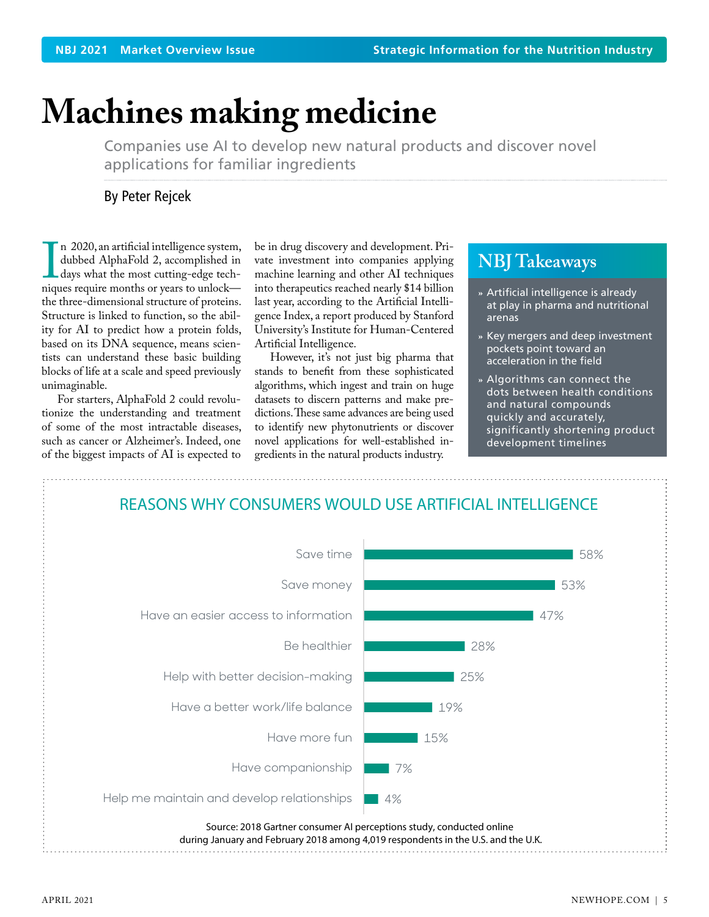## <span id="page-4-0"></span>**Machines making medicine**

Companies use AI to develop new natural products and discover novel applications for familiar ingredients

By Peter Rejcek

In 2020, an artificial intemperee system,<br>dubbed AlphaFold 2, accomplished in<br>days what the most cutting-edge tech-<br>niques require months or years to unlock n 2020, an artificial intelligence system, dubbed AlphaFold 2, accomplished in days what the most cutting-edge techthe three-dimensional structure of proteins. Structure is linked to function, so the ability for AI to predict how a protein folds, based on its DNA sequence, means scientists can understand these basic building blocks of life at a scale and speed previously unimaginable.

For starters, AlphaFold 2 could revolutionize the understanding and treatment of some of the most intractable diseases, such as cancer or Alzheimer's. Indeed, one of the biggest impacts of AI is expected to

be in drug discovery and development. Private investment into companies applying machine learning and other AI techniques into therapeutics reached nearly \$14 billion last year, according to the Artificial Intelligence Index, a report produced by Stanford University's Institute for Human-Centered Artificial Intelligence.

However, it's not just big pharma that stands to benefit from these sophisticated algorithms, which ingest and train on huge datasets to discern patterns and make predictions. These same advances are being used to identify new phytonutrients or discover novel applications for well-established ingredients in the natural products industry.

### **NBJ Takeaways**

- **»** Artificial intelligence is already at play in pharma and nutritional arenas
- **»** Key mergers and deep investment pockets point toward an acceleration in the field
- **»** Algorithms can connect the dots between health conditions and natural compounds quickly and accurately, significantly shortening product development timelines

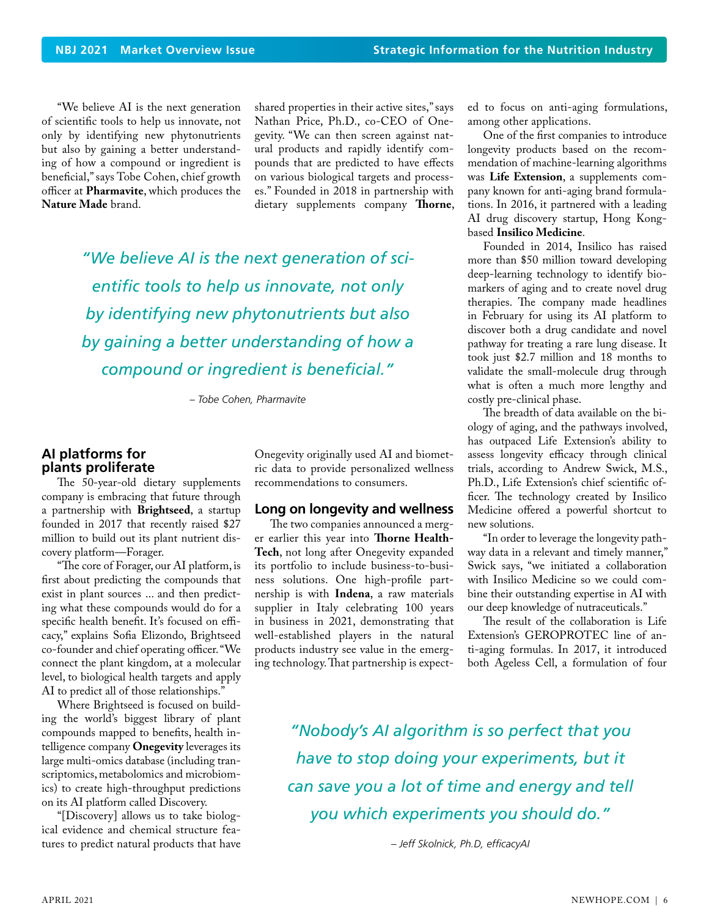"We believe AI is the next generation of scientific tools to help us innovate, not only by identifying new phytonutrients but also by gaining a better understanding of how a compound or ingredient is beneficial," says Tobe Cohen, chief growth officer at **Pharmavite**, which produces the **Nature Made** brand.

shared properties in their active sites," says Nathan Price, Ph.D., co-CEO of Onegevity. "We can then screen against natural products and rapidly identify compounds that are predicted to have effects on various biological targets and processes." Founded in 2018 in partnership with dietary supplements company **Thorne**,

*"We believe AI is the next generation of scientific tools to help us innovate, not only by identifying new phytonutrients but also by gaining a better understanding of how a compound or ingredient is beneficial."*

*– Tobe Cohen, Pharmavite*

#### **AI platforms for plants proliferate**

The 50-year-old dietary supplements company is embracing that future through a partnership with **Brightseed**, a startup founded in 2017 that recently raised \$27 million to build out its plant nutrient discovery platform—Forager.

"The core of Forager, our AI platform, is first about predicting the compounds that exist in plant sources ... and then predicting what these compounds would do for a specific health benefit. It's focused on efficacy," explains Sofia Elizondo, Brightseed co-founder and chief operating officer. "We connect the plant kingdom, at a molecular level, to biological health targets and apply AI to predict all of those relationships."

Where Brightseed is focused on building the world's biggest library of plant compounds mapped to benefits, health intelligence company **Onegevity** leverages its large multi-omics database (including transcriptomics, metabolomics and microbiomics) to create high-throughput predictions on its AI platform called Discovery.

"[Discovery] allows us to take biological evidence and chemical structure features to predict natural products that have

Onegevity originally used AI and biometric data to provide personalized wellness recommendations to consumers.

#### **Long on longevity and wellness**

The two companies announced a merger earlier this year into **Thorne Health-Tech**, not long after Onegevity expanded its portfolio to include business-to-business solutions. One high-profile partnership is with **Indena**, a raw materials supplier in Italy celebrating 100 years in business in 2021, demonstrating that well-established players in the natural products industry see value in the emerging technology. That partnership is expected to focus on anti-aging formulations, among other applications.

One of the first companies to introduce longevity products based on the recommendation of machine-learning algorithms was **Life Extension**, a supplements company known for anti-aging brand formulations. In 2016, it partnered with a leading AI drug discovery startup, Hong Kongbased **Insilico Medicine**.

Founded in 2014, Insilico has raised more than \$50 million toward developing deep-learning technology to identify biomarkers of aging and to create novel drug therapies. The company made headlines in February for using its AI platform to discover both a drug candidate and novel pathway for treating a rare lung disease. It took just \$2.7 million and 18 months to validate the small-molecule drug through what is often a much more lengthy and costly pre-clinical phase.

The breadth of data available on the biology of aging, and the pathways involved, has outpaced Life Extension's ability to assess longevity efficacy through clinical trials, according to Andrew Swick, M.S., Ph.D., Life Extension's chief scientific officer. The technology created by Insilico Medicine offered a powerful shortcut to new solutions.

"In order to leverage the longevity pathway data in a relevant and timely manner," Swick says, "we initiated a collaboration with Insilico Medicine so we could combine their outstanding expertise in AI with our deep knowledge of nutraceuticals."

The result of the collaboration is Life Extension's GEROPROTEC line of anti-aging formulas. In 2017, it introduced both Ageless Cell, a formulation of four

*"Nobody's AI algorithm is so perfect that you have to stop doing your experiments, but it can save you a lot of time and energy and tell you which experiments you should do."* 

*– Jeff Skolnick, Ph.D, efficacyAI*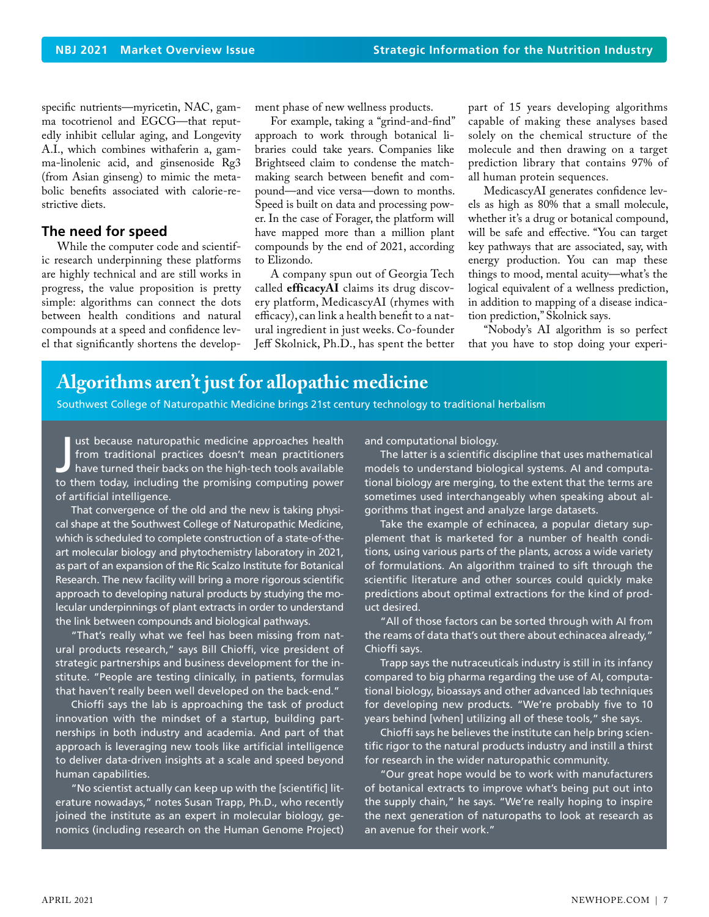specific nutrients—myricetin, NAC, gamma tocotrienol and EGCG—that reputedly inhibit cellular aging, and Longevity A.I., which combines withaferin a, gamma-linolenic acid, and ginsenoside Rg3 (from Asian ginseng) to mimic the metabolic benefits associated with calorie-restrictive diets.

#### **The need for speed**

While the computer code and scientific research underpinning these platforms are highly technical and are still works in progress, the value proposition is pretty simple: algorithms can connect the dots between health conditions and natural compounds at a speed and confidence level that significantly shortens the development phase of new wellness products.

For example, taking a "grind-and-find" approach to work through botanical libraries could take years. Companies like Brightseed claim to condense the matchmaking search between benefit and compound—and vice versa—down to months. Speed is built on data and processing power. In the case of Forager, the platform will have mapped more than a million plant compounds by the end of 2021, according to Elizondo.

A company spun out of Georgia Tech called **efficacyAI** claims its drug discovery platform, MedicascyAI (rhymes with efficacy), can link a health benefit to a natural ingredient in just weeks. Co-founder Jeff Skolnick, Ph.D., has spent the better part of 15 years developing algorithms capable of making these analyses based solely on the chemical structure of the molecule and then drawing on a target prediction library that contains 97% of all human protein sequences.

MedicascyAI generates confidence levels as high as 80% that a small molecule, whether it's a drug or botanical compound, will be safe and effective. "You can target key pathways that are associated, say, with energy production. You can map these things to mood, mental acuity—what's the logical equivalent of a wellness prediction, in addition to mapping of a disease indication prediction," Skolnick says.

"Nobody's AI algorithm is so perfect that you have to stop doing your experi-

### **Algorithms aren't just for allopathic medicine**

Southwest College of Naturopathic Medicine brings 21st century technology to traditional herbalism

I ust because naturopathic medicine approaches health<br>from traditional practices doesn't mean practitioners<br>have turned their backs on the high-tech tools available<br>to them today, including the promising computing power ust because naturopathic medicine approaches health from traditional practices doesn't mean practitioners have turned their backs on the high-tech tools available of artificial intelligence.

That convergence of the old and the new is taking physical shape at the Southwest College of Naturopathic Medicine, which is scheduled to complete construction of a state-of-theart molecular biology and phytochemistry laboratory in 2021, as part of an expansion of the Ric Scalzo Institute for Botanical Research. The new facility will bring a more rigorous scientific approach to developing natural products by studying the molecular underpinnings of plant extracts in order to understand the link between compounds and biological pathways.

"That's really what we feel has been missing from natural products research," says Bill Chioffi, vice president of strategic partnerships and business development for the institute. "People are testing clinically, in patients, formulas that haven't really been well developed on the back-end."

Chioffi says the lab is approaching the task of product innovation with the mindset of a startup, building partnerships in both industry and academia. And part of that approach is leveraging new tools like artificial intelligence to deliver data-driven insights at a scale and speed beyond human capabilities.

"No scientist actually can keep up with the [scientific] literature nowadays," notes Susan Trapp, Ph.D., who recently joined the institute as an expert in molecular biology, genomics (including research on the Human Genome Project) and computational biology.

The latter is a scientific discipline that uses mathematical models to understand biological systems. AI and computational biology are merging, to the extent that the terms are sometimes used interchangeably when speaking about algorithms that ingest and analyze large datasets.

Take the example of echinacea, a popular dietary supplement that is marketed for a number of health conditions, using various parts of the plants, across a wide variety of formulations. An algorithm trained to sift through the scientific literature and other sources could quickly make predictions about optimal extractions for the kind of product desired.

"All of those factors can be sorted through with AI from the reams of data that's out there about echinacea already," Chioffi says.

Trapp says the nutraceuticals industry is still in its infancy compared to big pharma regarding the use of AI, computational biology, bioassays and other advanced lab techniques for developing new products. "We're probably five to 10 years behind [when] utilizing all of these tools," she says.

Chioffi says he believes the institute can help bring scientific rigor to the natural products industry and instill a thirst for research in the wider naturopathic community.

"Our great hope would be to work with manufacturers of botanical extracts to improve what's being put out into the supply chain," he says. "We're really hoping to inspire the next generation of naturopaths to look at research as an avenue for their work."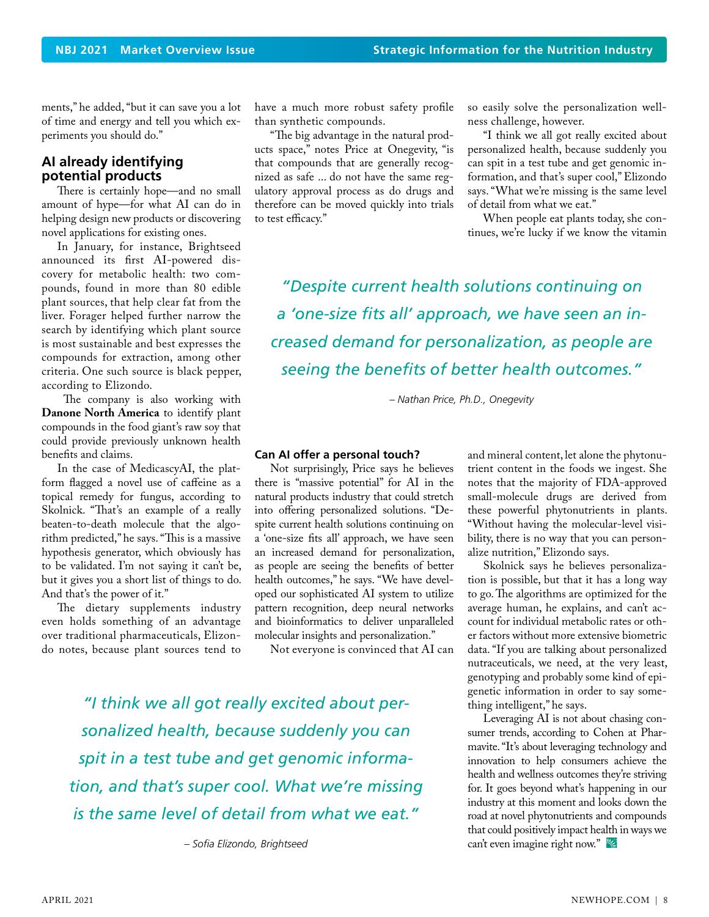ments," he added, "but it can save you a lot of time and energy and tell you which experiments you should do."

#### **AI already identifying potential products**

There is certainly hope—and no small amount of hype—for what AI can do in helping design new products or discovering novel applications for existing ones.

In January, for instance, Brightseed announced its first AI-powered discovery for metabolic health: two compounds, found in more than 80 edible plant sources, that help clear fat from the liver. Forager helped further narrow the search by identifying which plant source is most sustainable and best expresses the compounds for extraction, among other criteria. One such source is black pepper, according to Elizondo.

 The company is also working with **Danone North America** to identify plant compounds in the food giant's raw soy that could provide previously unknown health benefits and claims.

In the case of MedicascyAI, the platform flagged a novel use of caffeine as a topical remedy for fungus, according to Skolnick. "That's an example of a really beaten-to-death molecule that the algorithm predicted," he says. "This is a massive hypothesis generator, which obviously has to be validated. I'm not saying it can't be, but it gives you a short list of things to do. And that's the power of it."

The dietary supplements industry even holds something of an advantage over traditional pharmaceuticals, Elizondo notes, because plant sources tend to

have a much more robust safety profile than synthetic compounds.

"The big advantage in the natural products space," notes Price at Onegevity, "is that compounds that are generally recognized as safe ... do not have the same regulatory approval process as do drugs and therefore can be moved quickly into trials to test efficacy."

so easily solve the personalization wellness challenge, however.

"I think we all got really excited about personalized health, because suddenly you can spit in a test tube and get genomic information, and that's super cool," Elizondo says. "What we're missing is the same level of detail from what we eat."

When people eat plants today, she continues, we're lucky if we know the vitamin

*"Despite current health solutions continuing on a 'one-size fits all' approach, we have seen an increased demand for personalization, as people are seeing the benefits of better health outcomes."* 

*– Nathan Price, Ph.D., Onegevity*

#### **Can AI offer a personal touch?**

Not surprisingly, Price says he believes there is "massive potential" for AI in the natural products industry that could stretch into offering personalized solutions. "Despite current health solutions continuing on a 'one-size fits all' approach, we have seen an increased demand for personalization, as people are seeing the benefits of better health outcomes," he says. "We have developed our sophisticated AI system to utilize pattern recognition, deep neural networks and bioinformatics to deliver unparalleled molecular insights and personalization."

Not everyone is convinced that AI can

*"I think we all got really excited about personalized health, because suddenly you can spit in a test tube and get genomic information, and that's super cool. What we're missing is the same level of detail from what we eat."* 

*– Sofia Elizondo, Brightseed*

and mineral content, let alone the phytonutrient content in the foods we ingest. She notes that the majority of FDA-approved small-molecule drugs are derived from these powerful phytonutrients in plants. "Without having the molecular-level visibility, there is no way that you can personalize nutrition," Elizondo says.

Skolnick says he believes personalization is possible, but that it has a long way to go. The algorithms are optimized for the average human, he explains, and can't account for individual metabolic rates or other factors without more extensive biometric data. "If you are talking about personalized nutraceuticals, we need, at the very least, genotyping and probably some kind of epigenetic information in order to say something intelligent," he says.

Leveraging AI is not about chasing consumer trends, according to Cohen at Pharmavite. "It's about leveraging technology and innovation to help consumers achieve the health and wellness outcomes they're striving for. It goes beyond what's happening in our industry at this moment and looks down the road at novel phytonutrients and compounds that could positively impact health in ways we can't even imagine right now."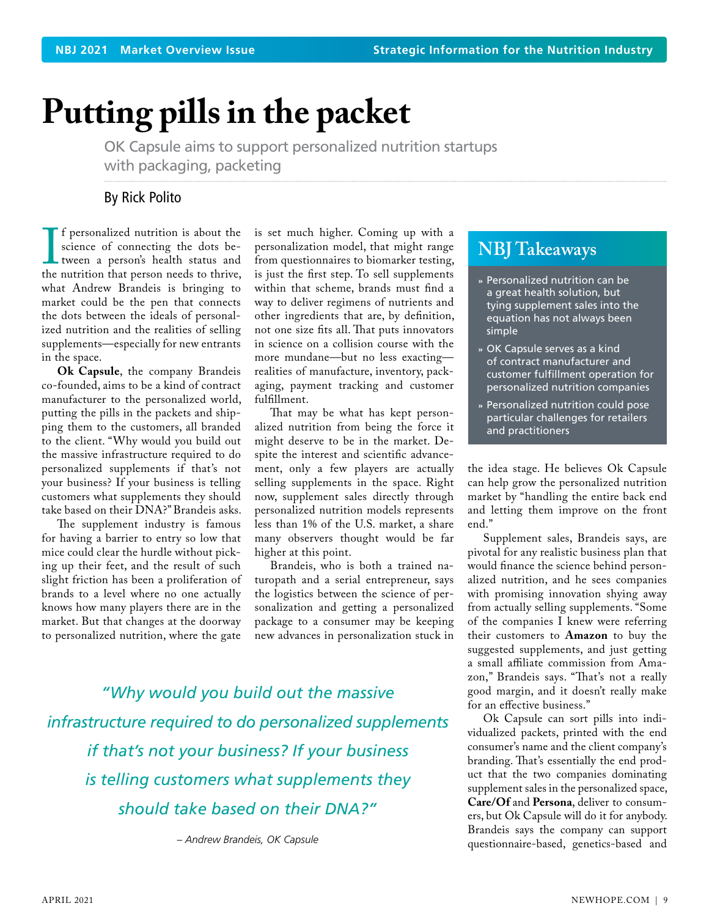## <span id="page-8-0"></span>**Putting pills in the packet**

OK Capsule aims to support personalized nutrition startups with packaging, packeting

#### By Rick Polito

 $\frac{1}{10}$ f personalized nutrition is about the science of connecting the dots between a person's health status and the nutrition that person needs to thrive, what Andrew Brandeis is bringing to market could be the pen that connects the dots between the ideals of personalized nutrition and the realities of selling supplements—especially for new entrants in the space.

**Ok Capsule**, the company Brandeis co-founded, aims to be a kind of contract manufacturer to the personalized world, putting the pills in the packets and shipping them to the customers, all branded to the client. "Why would you build out the massive infrastructure required to do personalized supplements if that's not your business? If your business is telling customers what supplements they should take based on their DNA?" Brandeis asks.

The supplement industry is famous for having a barrier to entry so low that mice could clear the hurdle without picking up their feet, and the result of such slight friction has been a proliferation of brands to a level where no one actually knows how many players there are in the market. But that changes at the doorway to personalized nutrition, where the gate

is set much higher. Coming up with a personalization model, that might range from questionnaires to biomarker testing, is just the first step. To sell supplements within that scheme, brands must find a way to deliver regimens of nutrients and other ingredients that are, by definition, not one size fits all. That puts innovators in science on a collision course with the more mundane—but no less exacting realities of manufacture, inventory, packaging, payment tracking and customer fulfillment.

That may be what has kept personalized nutrition from being the force it might deserve to be in the market. Despite the interest and scientific advancement, only a few players are actually selling supplements in the space. Right now, supplement sales directly through personalized nutrition models represents less than 1% of the U.S. market, a share many observers thought would be far higher at this point.

Brandeis, who is both a trained naturopath and a serial entrepreneur, says the logistics between the science of personalization and getting a personalized package to a consumer may be keeping new advances in personalization stuck in

*"Why would you build out the massive infrastructure required to do personalized supplements if that's not your business? If your business is telling customers what supplements they should take based on their DNA?"* 

*– Andrew Brandeis, OK Capsule*

### **NBJ Takeaways**

- **»** Personalized nutrition can be a great health solution, but tying supplement sales into the equation has not always been simple
- **»** OK Capsule serves as a kind of contract manufacturer and customer fulfillment operation for personalized nutrition companies
- **»** Personalized nutrition could pose particular challenges for retailers and practitioners

the idea stage. He believes Ok Capsule can help grow the personalized nutrition market by "handling the entire back end and letting them improve on the front end."

Supplement sales, Brandeis says, are pivotal for any realistic business plan that would finance the science behind personalized nutrition, and he sees companies with promising innovation shying away from actually selling supplements. "Some of the companies I knew were referring their customers to **Amazon** to buy the suggested supplements, and just getting a small affiliate commission from Amazon," Brandeis says. "That's not a really good margin, and it doesn't really make for an effective business."

Ok Capsule can sort pills into individualized packets, printed with the end consumer's name and the client company's branding. That's essentially the end product that the two companies dominating supplement sales in the personalized space, **Care/Of** and **Persona**, deliver to consumers, but Ok Capsule will do it for anybody. Brandeis says the company can support questionnaire-based, genetics-based and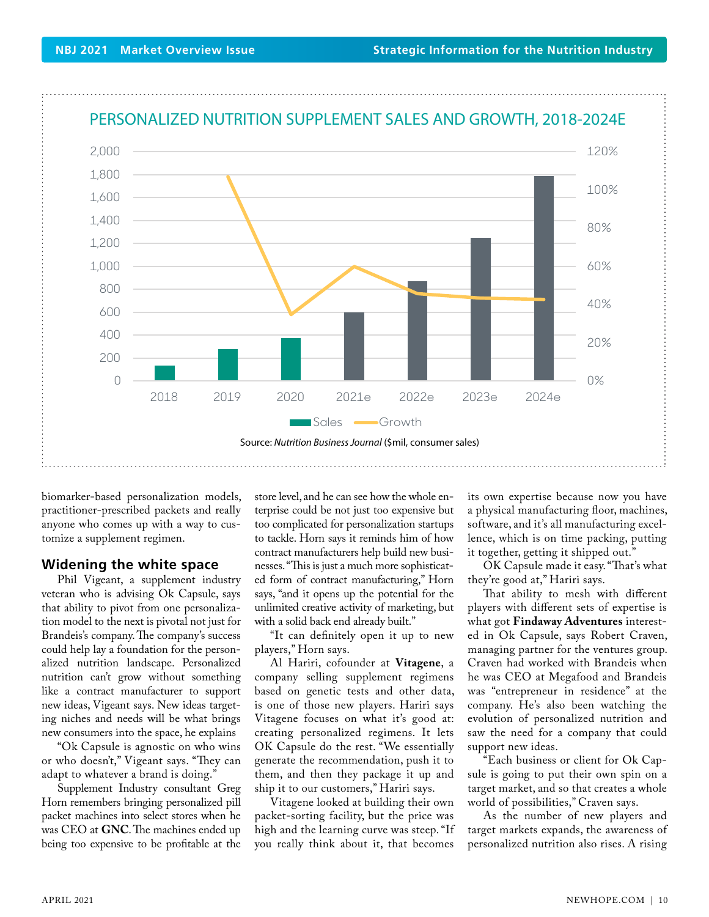

biomarker-based personalization models, practitioner-prescribed packets and really anyone who comes up with a way to customize a supplement regimen.

#### **Widening the white space**

Phil Vigeant, a supplement industry veteran who is advising Ok Capsule, says that ability to pivot from one personalization model to the next is pivotal not just for Brandeis's company. The company's success could help lay a foundation for the personalized nutrition landscape. Personalized nutrition can't grow without something like a contract manufacturer to support new ideas, Vigeant says. New ideas targeting niches and needs will be what brings new consumers into the space, he explains

"Ok Capsule is agnostic on who wins or who doesn't," Vigeant says. "They can adapt to whatever a brand is doing."

Supplement Industry consultant Greg Horn remembers bringing personalized pill packet machines into select stores when he was CEO at **GNC**. The machines ended up being too expensive to be profitable at the

store level, and he can see how the whole enterprise could be not just too expensive but too complicated for personalization startups to tackle. Horn says it reminds him of how contract manufacturers help build new businesses. "This is just a much more sophisticated form of contract manufacturing," Horn says, "and it opens up the potential for the unlimited creative activity of marketing, but with a solid back end already built."

"It can definitely open it up to new players," Horn says.

Al Hariri, cofounder at **Vitagene**, a company selling supplement regimens based on genetic tests and other data, is one of those new players. Hariri says Vitagene focuses on what it's good at: creating personalized regimens. It lets OK Capsule do the rest. "We essentially generate the recommendation, push it to them, and then they package it up and ship it to our customers," Hariri says.

Vitagene looked at building their own packet-sorting facility, but the price was high and the learning curve was steep. "If you really think about it, that becomes

its own expertise because now you have a physical manufacturing floor, machines, software, and it's all manufacturing excellence, which is on time packing, putting it together, getting it shipped out."

OK Capsule made it easy. "That's what they're good at," Hariri says.

That ability to mesh with different players with different sets of expertise is what got **Findaway Adventures** interested in Ok Capsule, says Robert Craven, managing partner for the ventures group. Craven had worked with Brandeis when he was CEO at Megafood and Brandeis was "entrepreneur in residence" at the company. He's also been watching the evolution of personalized nutrition and saw the need for a company that could support new ideas.

"Each business or client for Ok Capsule is going to put their own spin on a target market, and so that creates a whole world of possibilities," Craven says.

As the number of new players and target markets expands, the awareness of personalized nutrition also rises. A rising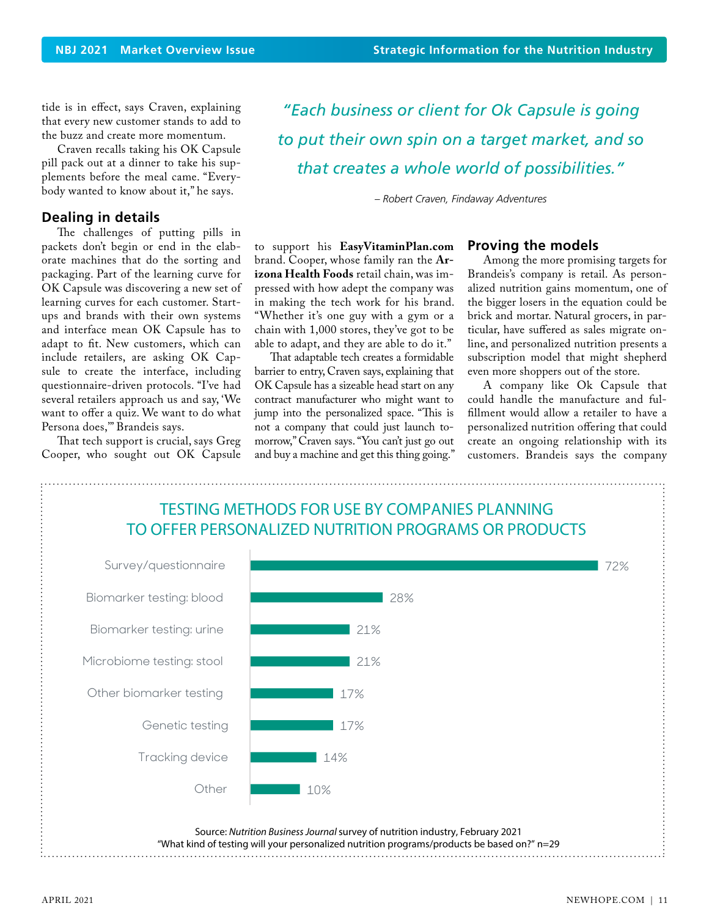tide is in effect, says Craven, explaining that every new customer stands to add to the buzz and create more momentum.

Craven recalls taking his OK Capsule pill pack out at a dinner to take his supplements before the meal came. "Everybody wanted to know about it," he says.

#### **Dealing in details**

The challenges of putting pills in packets don't begin or end in the elaborate machines that do the sorting and packaging. Part of the learning curve for OK Capsule was discovering a new set of learning curves for each customer. Startups and brands with their own systems and interface mean OK Capsule has to adapt to fit. New customers, which can include retailers, are asking OK Capsule to create the interface, including questionnaire-driven protocols. "I've had several retailers approach us and say, 'We want to offer a quiz. We want to do what Persona does,'" Brandeis says.

That tech support is crucial, says Greg Cooper, who sought out OK Capsule

*"Each business or client for Ok Capsule is going to put their own spin on a target market, and so that creates a whole world of possibilities."* 

*– Robert Craven, Findaway Adventures*

to support his **EasyVitaminPlan.com** brand. Cooper, whose family ran the **Arizona Health Foods** retail chain, was impressed with how adept the company was in making the tech work for his brand. "Whether it's one guy with a gym or a chain with 1,000 stores, they've got to be able to adapt, and they are able to do it."

That adaptable tech creates a formidable barrier to entry, Craven says, explaining that OK Capsule has a sizeable head start on any contract manufacturer who might want to jump into the personalized space. "This is not a company that could just launch tomorrow," Craven says. "You can't just go out and buy a machine and get this thing going."

#### **Proving the models**

Among the more promising targets for Brandeis's company is retail. As personalized nutrition gains momentum, one of the bigger losers in the equation could be brick and mortar. Natural grocers, in particular, have suffered as sales migrate online, and personalized nutrition presents a subscription model that might shepherd even more shoppers out of the store.

A company like Ok Capsule that could handle the manufacture and fulfillment would allow a retailer to have a personalized nutrition offering that could create an ongoing relationship with its customers. Brandeis says the company



"What kind of testing will your personalized nutrition programs/products be based on?" n=29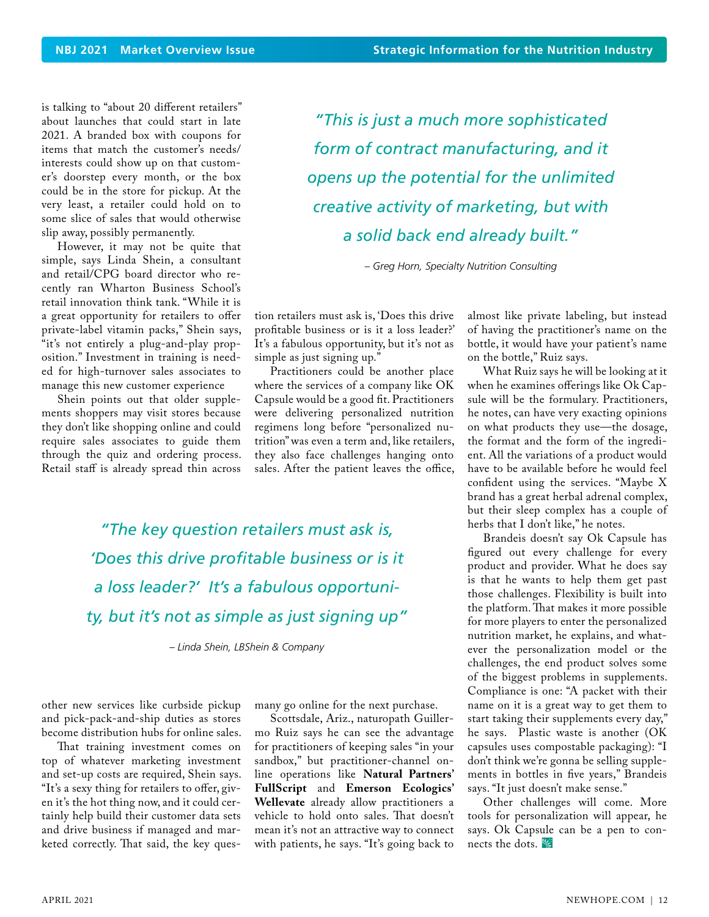is talking to "about 20 different retailers" about launches that could start in late 2021. A branded box with coupons for items that match the customer's needs/ interests could show up on that customer's doorstep every month, or the box could be in the store for pickup. At the very least, a retailer could hold on to some slice of sales that would otherwise slip away, possibly permanently.

However, it may not be quite that simple, says Linda Shein, a consultant and retail/CPG board director who recently ran Wharton Business School's retail innovation think tank. "While it is a great opportunity for retailers to offer private-label vitamin packs," Shein says, "it's not entirely a plug-and-play proposition." Investment in training is needed for high-turnover sales associates to manage this new customer experience

Shein points out that older supplements shoppers may visit stores because they don't like shopping online and could require sales associates to guide them through the quiz and ordering process. Retail staff is already spread thin across

*"This is just a much more sophisticated form of contract manufacturing, and it opens up the potential for the unlimited creative activity of marketing, but with a solid back end already built."* 

*– Greg Horn, Specialty Nutrition Consulting*

tion retailers must ask is, 'Does this drive profitable business or is it a loss leader?' It's a fabulous opportunity, but it's not as simple as just signing up."

Practitioners could be another place where the services of a company like OK Capsule would be a good fit. Practitioners were delivering personalized nutrition regimens long before "personalized nutrition" was even a term and, like retailers, they also face challenges hanging onto sales. After the patient leaves the office,

*"The key question retailers must ask is, 'Does this drive profitable business or is it a loss leader?' It's a fabulous opportunity, but it's not as simple as just signing up"* 

*– Linda Shein, LBShein & Company*

other new services like curbside pickup and pick-pack-and-ship duties as stores become distribution hubs for online sales.

That training investment comes on top of whatever marketing investment and set-up costs are required, Shein says. "It's a sexy thing for retailers to offer, given it's the hot thing now, and it could certainly help build their customer data sets and drive business if managed and marketed correctly. That said, the key quesmany go online for the next purchase.

Scottsdale, Ariz., naturopath Guillermo Ruiz says he can see the advantage for practitioners of keeping sales "in your sandbox," but practitioner-channel online operations like **Natural Partners' FullScript** and **Emerson Ecologics' Wellevate** already allow practitioners a vehicle to hold onto sales. That doesn't mean it's not an attractive way to connect with patients, he says. "It's going back to

almost like private labeling, but instead of having the practitioner's name on the bottle, it would have your patient's name on the bottle," Ruiz says.

What Ruiz says he will be looking at it when he examines offerings like Ok Capsule will be the formulary. Practitioners, he notes, can have very exacting opinions on what products they use—the dosage, the format and the form of the ingredient. All the variations of a product would have to be available before he would feel confident using the services. "Maybe X brand has a great herbal adrenal complex, but their sleep complex has a couple of herbs that I don't like," he notes.

Brandeis doesn't say Ok Capsule has figured out every challenge for every product and provider. What he does say is that he wants to help them get past those challenges. Flexibility is built into the platform. That makes it more possible for more players to enter the personalized nutrition market, he explains, and whatever the personalization model or the challenges, the end product solves some of the biggest problems in supplements. Compliance is one: "A packet with their name on it is a great way to get them to start taking their supplements every day," he says. Plastic waste is another (OK capsules uses compostable packaging): "I don't think we're gonna be selling supplements in bottles in five years," Brandeis says. "It just doesn't make sense."

Other challenges will come. More tools for personalization will appear, he says. Ok Capsule can be a pen to connects the dots.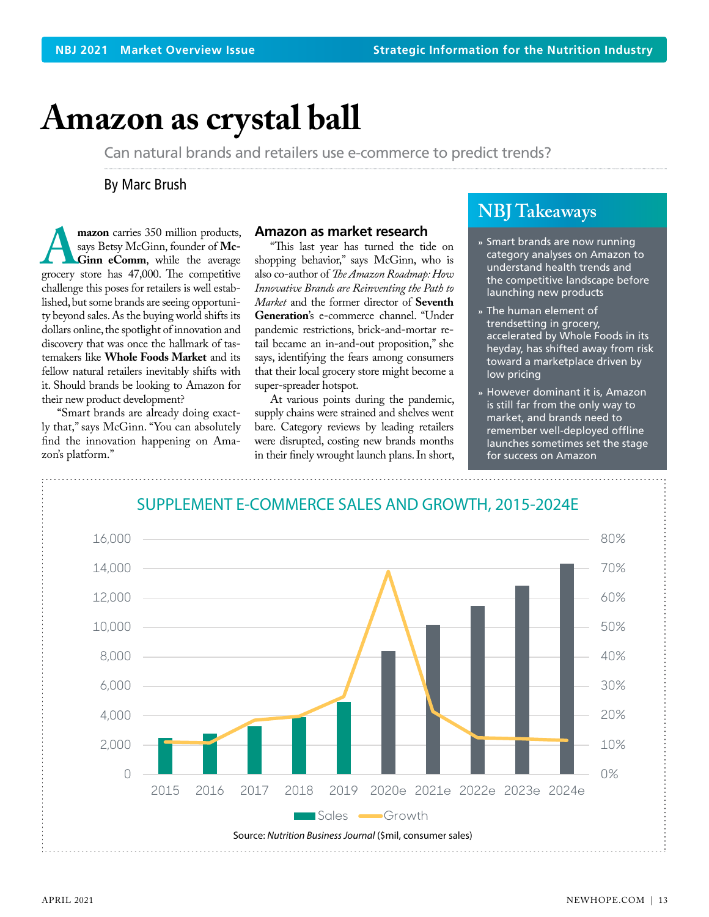## <span id="page-12-0"></span>**Amazon as crystal ball**

Can natural brands and retailers use e-commerce to predict trends?

By Marc Brush

**AMAZON** carries 350 million products,<br> **AMAZON** external extended the average<br>
grocery store has 47,000. The competitive says Betsy McGinn, founder of **Mc-Ginn eComm**, while the average challenge this poses for retailers is well established, but some brands are seeing opportunity beyond sales. As the buying world shifts its dollars online, the spotlight of innovation and discovery that was once the hallmark of tastemakers like **Whole Foods Market** and its fellow natural retailers inevitably shifts with it. Should brands be looking to Amazon for their new product development?

"Smart brands are already doing exactly that," says McGinn. "You can absolutely find the innovation happening on Amazon's platform."

#### **Amazon as market research**

"This last year has turned the tide on shopping behavior," says McGinn, who is also co-author of *The Amazon Roadmap: How Innovative Brands are Reinventing the Path to Market* and the former director of **Seventh Generation**'s e-commerce channel. "Under pandemic restrictions, brick-and-mortar retail became an in-and-out proposition," she says, identifying the fears among consumers that their local grocery store might become a super-spreader hotspot.

At various points during the pandemic, supply chains were strained and shelves went bare. Category reviews by leading retailers were disrupted, costing new brands months in their finely wrought launch plans. In short,

### **NBJ Takeaways**

- **»** Smart brands are now running category analyses on Amazon to understand health trends and the competitive landscape before launching new products
- **»** The human element of trendsetting in grocery, accelerated by Whole Foods in its heyday, has shifted away from risk toward a marketplace driven by low pricing
- **»** However dominant it is, Amazon is still far from the only way to market, and brands need to remember well-deployed offline launches sometimes set the stage for success on Amazon



#### SUPPLEMENT E-COMMERCE SALES AND GROWTH, 2015-2024E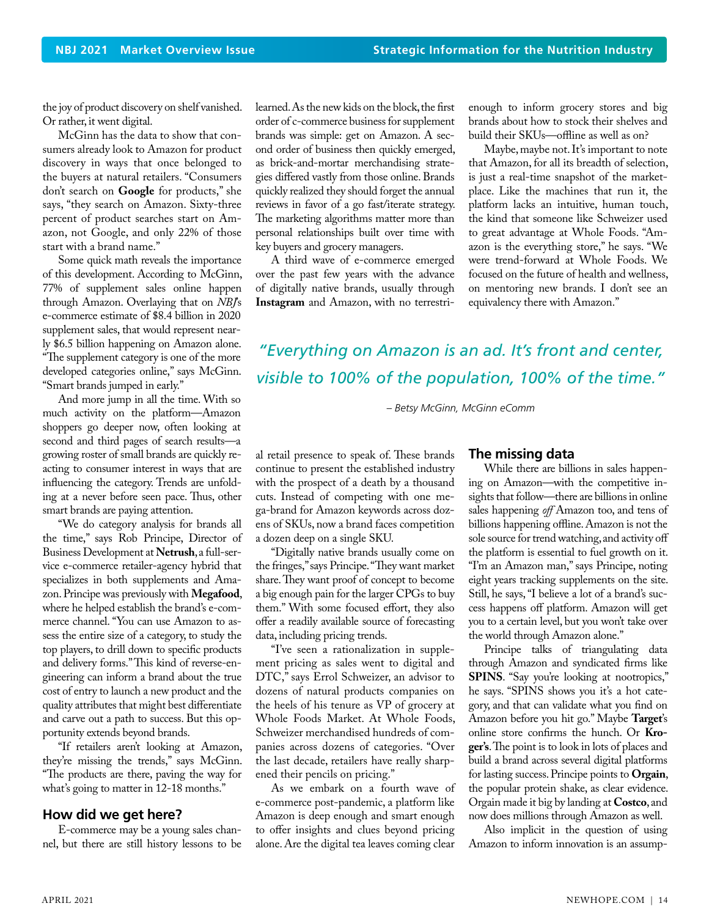the joy of product discovery on shelf vanished. Or rather, it went digital.

McGinn has the data to show that consumers already look to Amazon for product discovery in ways that once belonged to the buyers at natural retailers. "Consumers don't search on **Google** for products," she says, "they search on Amazon. Sixty-three percent of product searches start on Amazon, not Google, and only 22% of those start with a brand name."

Some quick math reveals the importance of this development. According to McGinn, 77% of supplement sales online happen through Amazon. Overlaying that on *NBJ*'s e-commerce estimate of \$8.4 billion in 2020 supplement sales, that would represent nearly \$6.5 billion happening on Amazon alone. "The supplement category is one of the more developed categories online," says McGinn. "Smart brands jumped in early."

And more jump in all the time. With so much activity on the platform—Amazon shoppers go deeper now, often looking at second and third pages of search results—a growing roster of small brands are quickly reacting to consumer interest in ways that are influencing the category. Trends are unfolding at a never before seen pace. Thus, other smart brands are paying attention.

"We do category analysis for brands all the time," says Rob Principe, Director of Business Development at **Netrush**, a full-service e-commerce retailer-agency hybrid that specializes in both supplements and Amazon. Principe was previously with **Megafood**, where he helped establish the brand's e-commerce channel. "You can use Amazon to assess the entire size of a category, to study the top players, to drill down to specific products and delivery forms." This kind of reverse-engineering can inform a brand about the true cost of entry to launch a new product and the quality attributes that might best differentiate and carve out a path to success. But this opportunity extends beyond brands.

"If retailers aren't looking at Amazon, they're missing the trends," says McGinn. "The products are there, paving the way for what's going to matter in 12-18 months."

#### **How did we get here?**

E-commerce may be a young sales channel, but there are still history lessons to be learned. As the new kids on the block, the first order of c-commerce business for supplement brands was simple: get on Amazon. A second order of business then quickly emerged, as brick-and-mortar merchandising strategies differed vastly from those online. Brands quickly realized they should forget the annual reviews in favor of a go fast/iterate strategy. The marketing algorithms matter more than personal relationships built over time with key buyers and grocery managers.

A third wave of e-commerce emerged over the past few years with the advance of digitally native brands, usually through **Instagram** and Amazon, with no terrestrienough to inform grocery stores and big brands about how to stock their shelves and build their SKUs—offline as well as on?

Maybe, maybe not. It's important to note that Amazon, for all its breadth of selection, is just a real-time snapshot of the marketplace. Like the machines that run it, the platform lacks an intuitive, human touch, the kind that someone like Schweizer used to great advantage at Whole Foods. "Amazon is the everything store," he says. "We were trend-forward at Whole Foods. We focused on the future of health and wellness, on mentoring new brands. I don't see an equivalency there with Amazon."

*"Everything on Amazon is an ad. It's front and center, visible to 100% of the population, 100% of the time."* 

*– Betsy McGinn, McGinn eComm*

al retail presence to speak of. These brands continue to present the established industry with the prospect of a death by a thousand cuts. Instead of competing with one mega-brand for Amazon keywords across dozens of SKUs, now a brand faces competition a dozen deep on a single SKU.

"Digitally native brands usually come on the fringes," says Principe. "They want market share. They want proof of concept to become a big enough pain for the larger CPGs to buy them." With some focused effort, they also offer a readily available source of forecasting data, including pricing trends.

"I've seen a rationalization in supplement pricing as sales went to digital and DTC," says Errol Schweizer, an advisor to dozens of natural products companies on the heels of his tenure as VP of grocery at Whole Foods Market. At Whole Foods, Schweizer merchandised hundreds of companies across dozens of categories. "Over the last decade, retailers have really sharpened their pencils on pricing."

As we embark on a fourth wave of e-commerce post-pandemic, a platform like Amazon is deep enough and smart enough to offer insights and clues beyond pricing alone. Are the digital tea leaves coming clear

#### **The missing data**

While there are billions in sales happening on Amazon—with the competitive insights that follow—there are billions in online sales happening *off* Amazon too, and tens of billions happening offline. Amazon is not the sole source for trend watching, and activity off the platform is essential to fuel growth on it. "I'm an Amazon man," says Principe, noting eight years tracking supplements on the site. Still, he says, "I believe a lot of a brand's success happens off platform. Amazon will get you to a certain level, but you won't take over the world through Amazon alone."

Principe talks of triangulating data through Amazon and syndicated firms like **SPINS**. "Say you're looking at nootropics," he says. "SPINS shows you it's a hot category, and that can validate what you find on Amazon before you hit go." Maybe **Target**'s online store confirms the hunch. Or **Kroger's**. The point is to look in lots of places and build a brand across several digital platforms for lasting success. Principe points to **Orgain**, the popular protein shake, as clear evidence. Orgain made it big by landing at **Costco**, and now does millions through Amazon as well.

Also implicit in the question of using Amazon to inform innovation is an assump-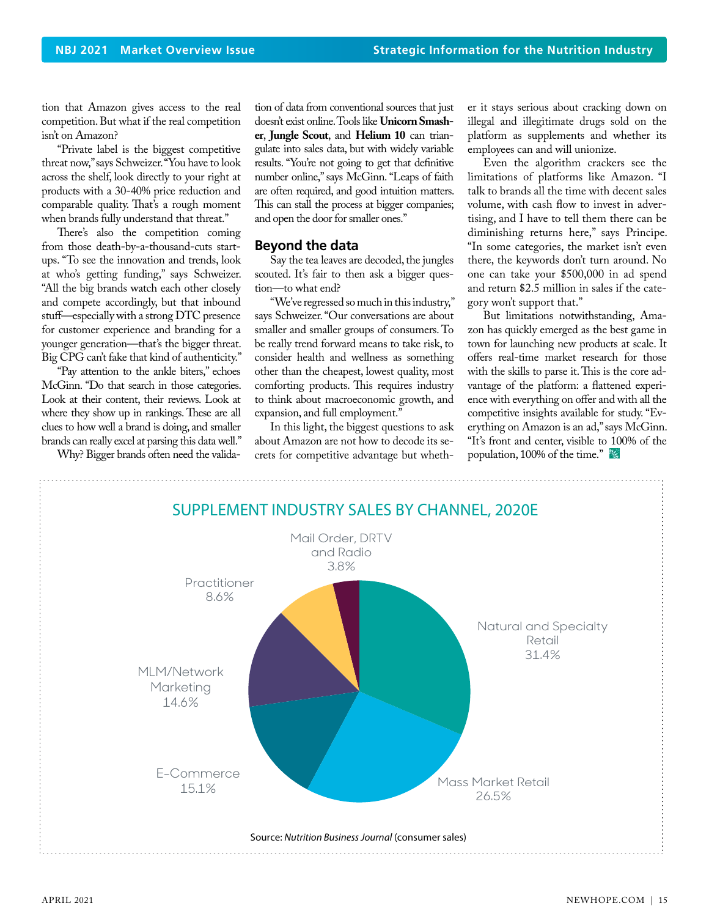tion that Amazon gives access to the real competition. But what if the real competition isn't on Amazon?

"Private label is the biggest competitive threat now," says Schweizer. "You have to look across the shelf, look directly to your right at products with a 30-40% price reduction and comparable quality. That's a rough moment when brands fully understand that threat."

There's also the competition coming from those death-by-a-thousand-cuts startups. "To see the innovation and trends, look at who's getting funding," says Schweizer. "All the big brands watch each other closely and compete accordingly, but that inbound stuff—especially with a strong DTC presence for customer experience and branding for a younger generation—that's the bigger threat. Big CPG can't fake that kind of authenticity."

"Pay attention to the ankle biters," echoes McGinn. "Do that search in those categories. Look at their content, their reviews. Look at where they show up in rankings. These are all clues to how well a brand is doing, and smaller brands can really excel at parsing this data well."

Why? Bigger brands often need the valida-

tion of data from conventional sources that just doesn't exist online. Tools like **Unicorn Smasher**, **Jungle Scout**, and **Helium 10** can triangulate into sales data, but with widely variable results. "You're not going to get that definitive number online," says McGinn. "Leaps of faith are often required, and good intuition matters. This can stall the process at bigger companies; and open the door for smaller ones."

#### **Beyond the data**

Say the tea leaves are decoded, the jungles scouted. It's fair to then ask a bigger question—to what end?

"We've regressed so much in this industry," says Schweizer. "Our conversations are about smaller and smaller groups of consumers. To be really trend forward means to take risk, to consider health and wellness as something other than the cheapest, lowest quality, most comforting products. This requires industry to think about macroeconomic growth, and expansion, and full employment."

In this light, the biggest questions to ask about Amazon are not how to decode its secrets for competitive advantage but whether it stays serious about cracking down on illegal and illegitimate drugs sold on the platform as supplements and whether its employees can and will unionize.

Even the algorithm crackers see the limitations of platforms like Amazon. "I talk to brands all the time with decent sales volume, with cash flow to invest in advertising, and I have to tell them there can be diminishing returns here," says Principe. "In some categories, the market isn't even there, the keywords don't turn around. No one can take your \$500,000 in ad spend and return \$2.5 million in sales if the category won't support that."

But limitations notwithstanding, Amazon has quickly emerged as the best game in town for launching new products at scale. It offers real-time market research for those with the skills to parse it. This is the core advantage of the platform: a flattened experience with everything on offer and with all the competitive insights available for study. "Everything on Amazon is an ad," says McGinn. "It's front and center, visible to 100% of the population, 100% of the time."

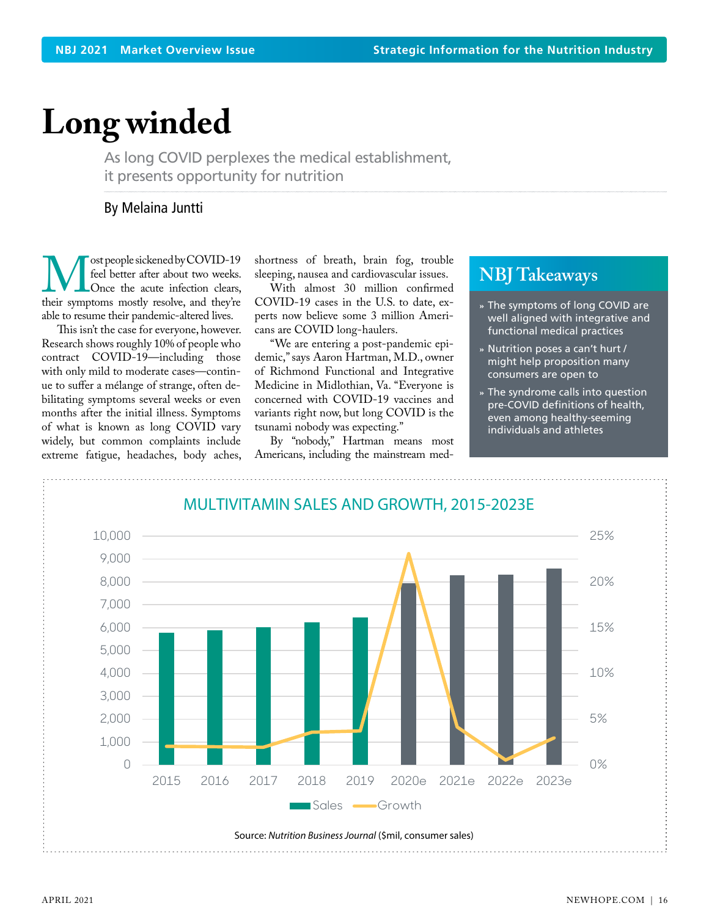## <span id="page-15-0"></span>**Long winded**

As long COVID perplexes the medical establishment, it presents opportunity for nutrition

By Melaina Juntti

**M** ost people sickened by COVID-19<br>feel better after about two weeks.<br>their symptoms mostly resolve, and they're feel better after about two weeks. Once the acute infection clears, able to resume their pandemic-altered lives.

This isn't the case for everyone, however. Research shows roughly 10% of people who contract COVID-19—including those with only mild to moderate cases—continue to suffer a mélange of strange, often debilitating symptoms several weeks or even months after the initial illness. Symptoms of what is known as long COVID vary widely, but common complaints include extreme fatigue, headaches, body aches, shortness of breath, brain fog, trouble sleeping, nausea and cardiovascular issues.

With almost 30 million confirmed COVID-19 cases in the U.S. to date, experts now believe some 3 million Americans are COVID long-haulers.

"We are entering a post-pandemic epidemic," says Aaron Hartman, M.D., owner of Richmond Functional and Integrative Medicine in Midlothian, Va. "Everyone is concerned with COVID-19 vaccines and variants right now, but long COVID is the tsunami nobody was expecting."

By "nobody," Hartman means most Americans, including the mainstream med-

### **NBJ Takeaways**

- **»** The symptoms of long COVID are well aligned with integrative and functional medical practices
- **»** Nutrition poses a can't hurt / might help proposition many consumers are open to
- **»** The syndrome calls into question pre-COVID definitions of health, even among healthy-seeming individuals and athletes

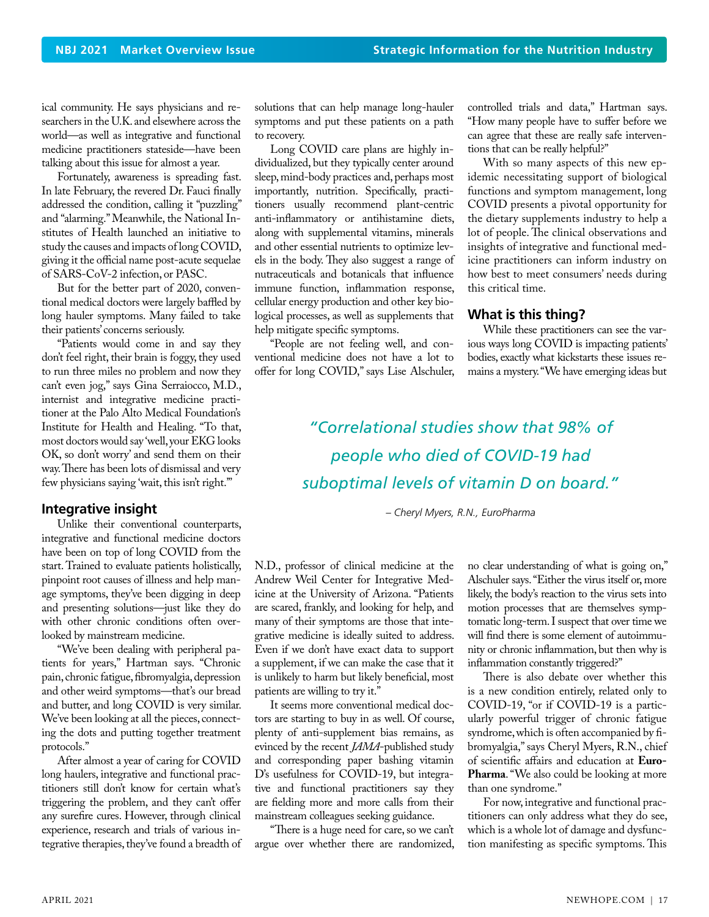ical community. He says physicians and researchers in the U.K. and elsewhere across the world—as well as integrative and functional medicine practitioners stateside—have been talking about this issue for almost a year.

Fortunately, awareness is spreading fast. In late February, the revered Dr. Fauci finally addressed the condition, calling it "puzzling" and "alarming." Meanwhile, the National Institutes of Health launched an initiative to study the causes and impacts of long COVID, giving it the official name post-acute sequelae of SARS-CoV-2 infection, or PASC.

But for the better part of 2020, conventional medical doctors were largely baffled by long hauler symptoms. Many failed to take their patients' concerns seriously.

"Patients would come in and say they don't feel right, their brain is foggy, they used to run three miles no problem and now they can't even jog," says Gina Serraiocco, M.D., internist and integrative medicine practitioner at the Palo Alto Medical Foundation's Institute for Health and Healing. "To that, most doctors would say 'well, your EKG looks OK, so don't worry' and send them on their way. There has been lots of dismissal and very few physicians saying 'wait, this isn't right.'"

#### **Integrative insight**

Unlike their conventional counterparts, integrative and functional medicine doctors have been on top of long COVID from the start. Trained to evaluate patients holistically, pinpoint root causes of illness and help manage symptoms, they've been digging in deep and presenting solutions—just like they do with other chronic conditions often overlooked by mainstream medicine.

"We've been dealing with peripheral patients for years," Hartman says. "Chronic pain, chronic fatigue, fibromyalgia, depression and other weird symptoms—that's our bread and butter, and long COVID is very similar. We've been looking at all the pieces, connecting the dots and putting together treatment protocols."

After almost a year of caring for COVID long haulers, integrative and functional practitioners still don't know for certain what's triggering the problem, and they can't offer any surefire cures. However, through clinical experience, research and trials of various integrative therapies, they've found a breadth of

solutions that can help manage long-hauler symptoms and put these patients on a path to recovery.

Long COVID care plans are highly individualized, but they typically center around sleep, mind-body practices and, perhaps most importantly, nutrition. Specifically, practitioners usually recommend plant-centric anti-inflammatory or antihistamine diets, along with supplemental vitamins, minerals and other essential nutrients to optimize levels in the body. They also suggest a range of nutraceuticals and botanicals that influence immune function, inflammation response, cellular energy production and other key biological processes, as well as supplements that help mitigate specific symptoms.

"People are not feeling well, and conventional medicine does not have a lot to offer for long COVID," says Lise Alschuler, controlled trials and data," Hartman says. "How many people have to suffer before we can agree that these are really safe interventions that can be really helpful?"

With so many aspects of this new epidemic necessitating support of biological functions and symptom management, long COVID presents a pivotal opportunity for the dietary supplements industry to help a lot of people. The clinical observations and insights of integrative and functional medicine practitioners can inform industry on how best to meet consumers' needs during this critical time.

#### **What is this thing?**

While these practitioners can see the various ways long COVID is impacting patients' bodies, exactly what kickstarts these issues remains a mystery. "We have emerging ideas but

## *"Correlational studies show that 98% of people who died of COVID-19 had suboptimal levels of vitamin D on board."*

#### *– Cheryl Myers, R.N., EuroPharma*

N.D., professor of clinical medicine at the Andrew Weil Center for Integrative Medicine at the University of Arizona. "Patients are scared, frankly, and looking for help, and many of their symptoms are those that integrative medicine is ideally suited to address. Even if we don't have exact data to support a supplement, if we can make the case that it is unlikely to harm but likely beneficial, most patients are willing to try it."

It seems more conventional medical doctors are starting to buy in as well. Of course, plenty of anti-supplement bias remains, as evinced by the recent *JAMA*-published study and corresponding paper bashing vitamin D's usefulness for COVID-19, but integrative and functional practitioners say they are fielding more and more calls from their mainstream colleagues seeking guidance.

"There is a huge need for care, so we can't argue over whether there are randomized, no clear understanding of what is going on," Alschuler says. "Either the virus itself or, more likely, the body's reaction to the virus sets into motion processes that are themselves symptomatic long-term. I suspect that over time we will find there is some element of autoimmunity or chronic inflammation, but then why is inflammation constantly triggered?"

There is also debate over whether this is a new condition entirely, related only to COVID-19, "or if COVID-19 is a particularly powerful trigger of chronic fatigue syndrome, which is often accompanied by fibromyalgia," says Cheryl Myers, R.N., chief of scientific affairs and education at **Euro-Pharma**. "We also could be looking at more than one syndrome."

For now, integrative and functional practitioners can only address what they do see, which is a whole lot of damage and dysfunction manifesting as specific symptoms. This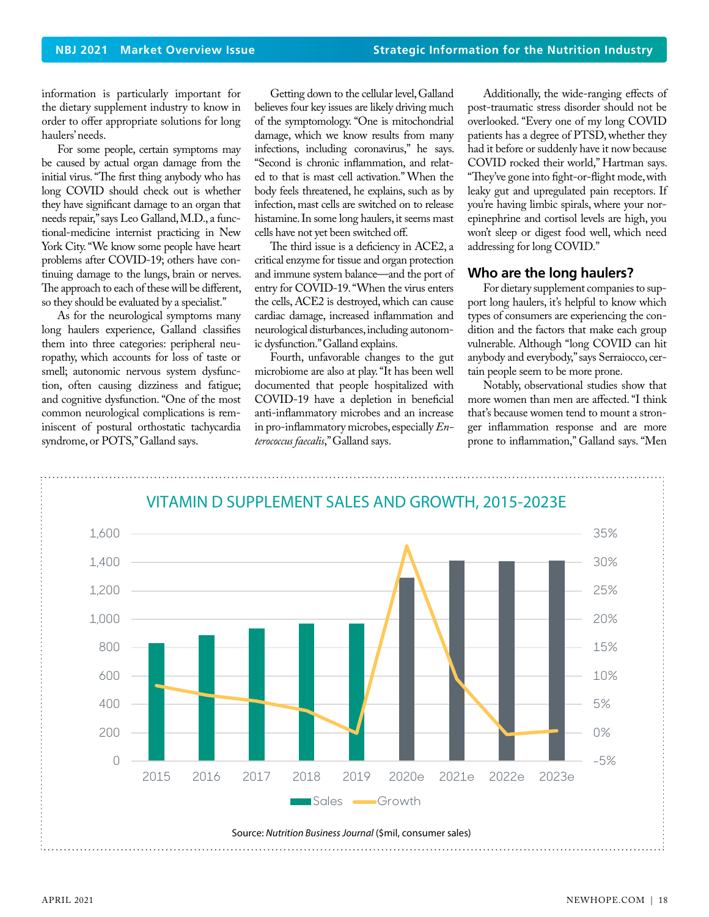information is particularly important for the dietary supplement industry to know in order to offer appropriate solutions for long haulers' needs.

For some people, certain symptoms may be caused by actual organ damage from the initial virus. "The first thing anybody who has long COVID should check out is whether they have significant damage to an organ that needs repair," says Leo Galland, M.D., a functional-medicine internist practicing in New York City. "We know some people have heart problems after COVID-19; others have continuing damage to the lungs, brain or nerves. The approach to each of these will be different, so they should be evaluated by a specialist."

As for the neurological symptoms many long haulers experience, Galland classifies them into three categories: peripheral neuropathy, which accounts for loss of taste or smell; autonomic nervous system dysfunction, often causing dizziness and fatigue; and cognitive dysfunction. "One of the most common neurological complications is reminiscent of postural orthostatic tachycardia syndrome, or POTS," Galland says.

Getting down to the cellular level, Galland believes four key issues are likely driving much of the symptomology. "One is mitochondrial damage, which we know results from many infections, including coronavirus," he says. "Second is chronic inflammation, and related to that is mast cell activation." When the body feels threatened, he explains, such as by infection, mast cells are switched on to release histamine. In some long haulers, it seems mast cells have not yet been switched off.

The third issue is a deficiency in ACE2, a critical enzyme for tissue and organ protection and immune system balance—and the port of entry for COVID-19. "When the virus enters the cells, ACE2 is destroyed, which can cause cardiac damage, increased inflammation and neurological disturbances, including autonomic dysfunction." Galland explains.

Fourth, unfavorable changes to the gut microbiome are also at play. "It has been well documented that people hospitalized with COVID-19 have a depletion in beneficial anti-inflammatory microbes and an increase in pro-inflammatory microbes, especially *Enterococcus faecalis*," Galland says.

Additionally, the wide-ranging effects of post-traumatic stress disorder should not be overlooked. "Every one of my long COVID patients has a degree of PTSD, whether they had it before or suddenly have it now because COVID rocked their world," Hartman says. "They've gone into fight-or-flight mode, with leaky gut and upregulated pain receptors. If you're having limbic spirals, where your norepinephrine and cortisol levels are high, you won't sleep or digest food well, which need addressing for long COVID."

#### **Who are the long haulers?**

For dietary supplement companies to support long haulers, it's helpful to know which types of consumers are experiencing the condition and the factors that make each group vulnerable. Although "long COVID can hit anybody and everybody," says Serraiocco, certain people seem to be more prone.

Notably, observational studies show that more women than men are affected. "I think that's because women tend to mount a stronger inflammation response and are more prone to inflammation," Galland says. "Men

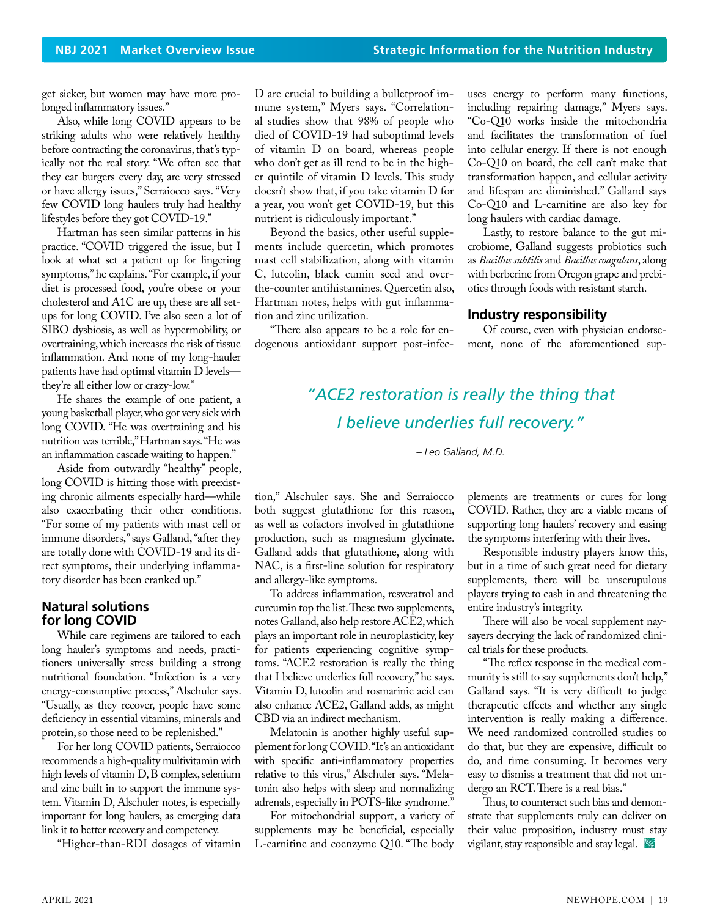get sicker, but women may have more prolonged inflammatory issues."

Also, while long COVID appears to be striking adults who were relatively healthy before contracting the coronavirus, that's typically not the real story. "We often see that they eat burgers every day, are very stressed or have allergy issues," Serraiocco says. "Very few COVID long haulers truly had healthy lifestyles before they got COVID-19."

Hartman has seen similar patterns in his practice. "COVID triggered the issue, but I look at what set a patient up for lingering symptoms," he explains. "For example, if your diet is processed food, you're obese or your cholesterol and A1C are up, these are all setups for long COVID. I've also seen a lot of SIBO dysbiosis, as well as hypermobility, or overtraining, which increases the risk of tissue inflammation. And none of my long-hauler patients have had optimal vitamin D levels they're all either low or crazy-low."

He shares the example of one patient, a young basketball player, who got very sick with long COVID. "He was overtraining and his nutrition was terrible," Hartman says. "He was an inflammation cascade waiting to happen."

Aside from outwardly "healthy" people, long COVID is hitting those with preexisting chronic ailments especially hard—while also exacerbating their other conditions. "For some of my patients with mast cell or immune disorders," says Galland, "after they are totally done with COVID-19 and its direct symptoms, their underlying inflammatory disorder has been cranked up."

#### **Natural solutions for long COVID**

While care regimens are tailored to each long hauler's symptoms and needs, practitioners universally stress building a strong nutritional foundation. "Infection is a very energy-consumptive process," Alschuler says. "Usually, as they recover, people have some deficiency in essential vitamins, minerals and protein, so those need to be replenished."

For her long COVID patients, Serraiocco recommends a high-quality multivitamin with high levels of vitamin D, B complex, selenium and zinc built in to support the immune system. Vitamin D, Alschuler notes, is especially important for long haulers, as emerging data link it to better recovery and competency.

"Higher-than-RDI dosages of vitamin

D are crucial to building a bulletproof immune system," Myers says. "Correlational studies show that 98% of people who died of COVID-19 had suboptimal levels of vitamin D on board, whereas people who don't get as ill tend to be in the higher quintile of vitamin D levels. This study doesn't show that, if you take vitamin D for a year, you won't get COVID-19, but this nutrient is ridiculously important."

Beyond the basics, other useful supplements include quercetin, which promotes mast cell stabilization, along with vitamin C, luteolin, black cumin seed and overthe-counter antihistamines. Quercetin also, Hartman notes, helps with gut inflammation and zinc utilization.

"There also appears to be a role for endogenous antioxidant support post-infecuses energy to perform many functions, including repairing damage," Myers says. "Co-Q10 works inside the mitochondria and facilitates the transformation of fuel into cellular energy. If there is not enough Co-Q10 on board, the cell can't make that transformation happen, and cellular activity and lifespan are diminished." Galland says Co-Q10 and L-carnitine are also key for long haulers with cardiac damage.

Lastly, to restore balance to the gut microbiome, Galland suggests probiotics such as *Bacillus subtilis* and *Bacillus coagulans*, along with berberine from Oregon grape and prebiotics through foods with resistant starch.

#### **Industry responsibility**

Of course, even with physician endorsement, none of the aforementioned sup-

### *"ACE2 restoration is really the thing that I believe underlies full recovery."*

*– Leo Galland, M.D.*

tion," Alschuler says. She and Serraiocco both suggest glutathione for this reason, as well as cofactors involved in glutathione production, such as magnesium glycinate. Galland adds that glutathione, along with NAC, is a first-line solution for respiratory and allergy-like symptoms.

To address inflammation, resveratrol and curcumin top the list. These two supplements, notes Galland, also help restore ACE2, which plays an important role in neuroplasticity, key for patients experiencing cognitive symptoms. "ACE2 restoration is really the thing that I believe underlies full recovery," he says. Vitamin D, luteolin and rosmarinic acid can also enhance ACE2, Galland adds, as might CBD via an indirect mechanism.

Melatonin is another highly useful supplement for long COVID. "It's an antioxidant with specific anti-inflammatory properties relative to this virus," Alschuler says. "Melatonin also helps with sleep and normalizing adrenals, especially in POTS-like syndrome."

For mitochondrial support, a variety of supplements may be beneficial, especially L-carnitine and coenzyme Q10. "The body plements are treatments or cures for long COVID. Rather, they are a viable means of supporting long haulers' recovery and easing the symptoms interfering with their lives.

Responsible industry players know this, but in a time of such great need for dietary supplements, there will be unscrupulous players trying to cash in and threatening the entire industry's integrity.

There will also be vocal supplement naysayers decrying the lack of randomized clinical trials for these products.

"The reflex response in the medical community is still to say supplements don't help," Galland says. "It is very difficult to judge therapeutic effects and whether any single intervention is really making a difference. We need randomized controlled studies to do that, but they are expensive, difficult to do, and time consuming. It becomes very easy to dismiss a treatment that did not undergo an RCT. There is a real bias."

Thus, to counteract such bias and demonstrate that supplements truly can deliver on their value proposition, industry must stay vigilant, stay responsible and stay legal.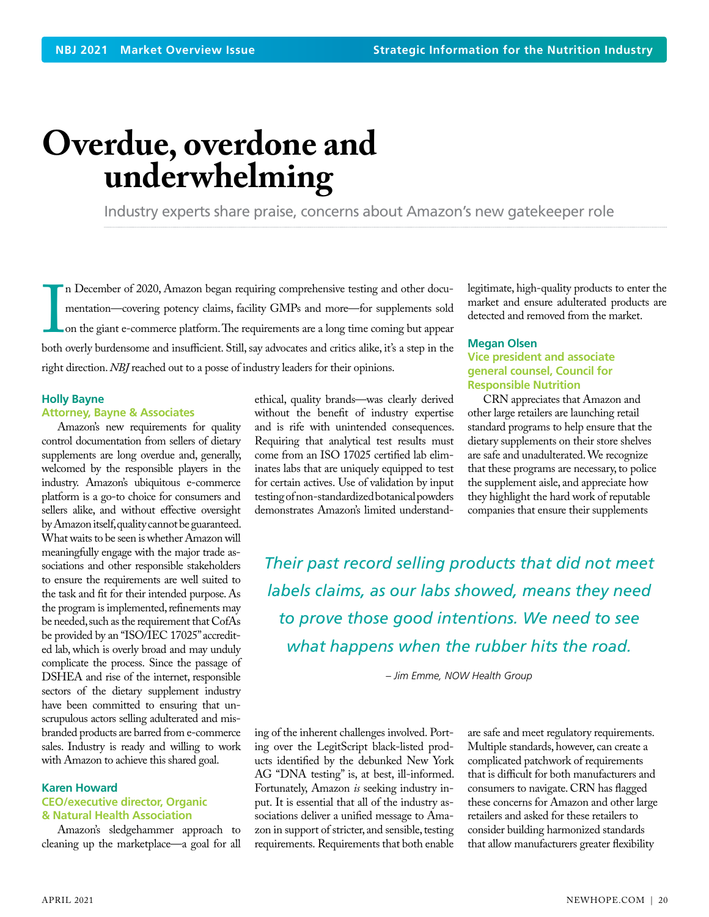## <span id="page-19-0"></span>**Overdue, overdone and underwhelming**

Industry experts share praise, concerns about Amazon's new gatekeeper role

In the contract of the state of the state of the state of the mentation —covering potency claims, facility GMPs and more—for supplements sold<br>on the giant e-commerce platform. The requirements are a long time coming but ap n December of 2020, Amazon began requiring comprehensive testing and other documentation—covering potency claims, facility GMPs and more—for supplements sold on the giant e-commerce platform. The requirements are a long time coming but appear right direction. *NBJ* reached out to a posse of industry leaders for their opinions.

#### **Holly Bayne**

#### **Attorney, Bayne & Associates**

Amazon's new requirements for quality control documentation from sellers of dietary supplements are long overdue and, generally, welcomed by the responsible players in the industry. Amazon's ubiquitous e-commerce platform is a go-to choice for consumers and sellers alike, and without effective oversight by Amazon itself, quality cannot be guaranteed. What waits to be seen is whether Amazon will meaningfully engage with the major trade associations and other responsible stakeholders to ensure the requirements are well suited to the task and fit for their intended purpose. As the program is implemented, refinements may be needed, such as the requirement that CofAs be provided by an "ISO/IEC 17025" accredited lab, which is overly broad and may unduly complicate the process. Since the passage of DSHEA and rise of the internet, responsible sectors of the dietary supplement industry have been committed to ensuring that unscrupulous actors selling adulterated and misbranded products are barred from e-commerce sales. Industry is ready and willing to work with Amazon to achieve this shared goal.

#### **Karen Howard CEO/executive director, Organic & Natural Health Association**

Amazon's sledgehammer approach to cleaning up the marketplace—a goal for all

ethical, quality brands—was clearly derived without the benefit of industry expertise and is rife with unintended consequences. Requiring that analytical test results must come from an ISO 17025 certified lab eliminates labs that are uniquely equipped to test for certain actives. Use of validation by input testing of non-standardized botanical powders demonstrates Amazon's limited understandlegitimate, high-quality products to enter the market and ensure adulterated products are detected and removed from the market.

#### **Megan Olsen Vice president and associate general counsel, Council for Responsible Nutrition**

CRN appreciates that Amazon and other large retailers are launching retail standard programs to help ensure that the dietary supplements on their store shelves are safe and unadulterated. We recognize that these programs are necessary, to police the supplement aisle, and appreciate how they highlight the hard work of reputable companies that ensure their supplements

*Their past record selling products that did not meet labels claims, as our labs showed, means they need to prove those good intentions. We need to see what happens when the rubber hits the road.* 

*– Jim Emme, NOW Health Group*

ing of the inherent challenges involved. Porting over the LegitScript black-listed products identified by the debunked New York AG "DNA testing" is, at best, ill-informed. Fortunately, Amazon *is* seeking industry input. It is essential that all of the industry associations deliver a unified message to Amazon in support of stricter, and sensible, testing requirements. Requirements that both enable

are safe and meet regulatory requirements. Multiple standards, however, can create a complicated patchwork of requirements that is difficult for both manufacturers and consumers to navigate. CRN has flagged these concerns for Amazon and other large retailers and asked for these retailers to consider building harmonized standards that allow manufacturers greater flexibility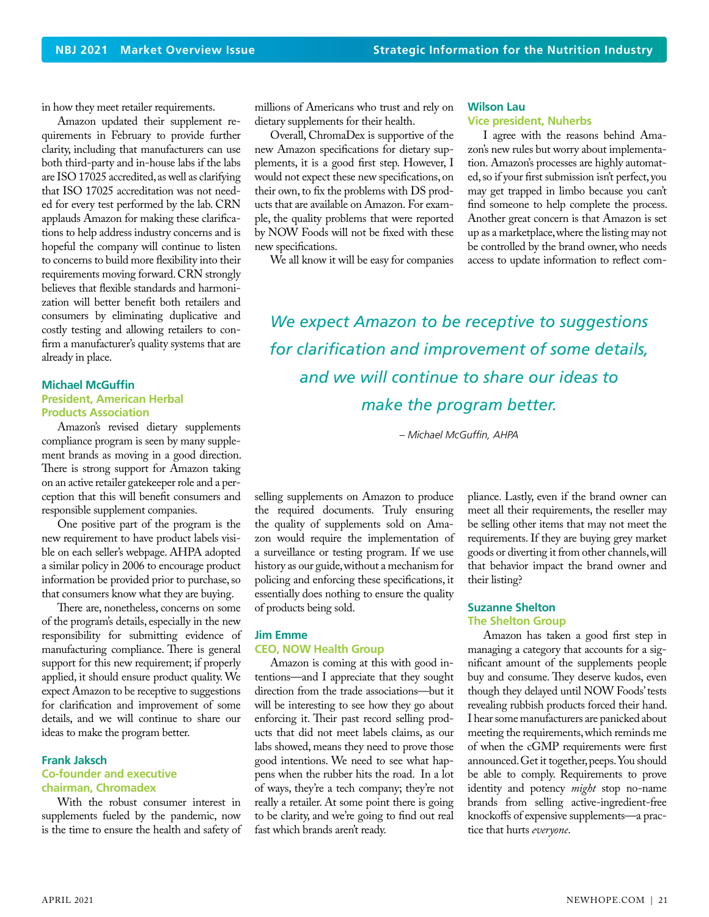in how they meet retailer requirements.

Amazon updated their supplement requirements in February to provide further clarity, including that manufacturers can use both third-party and in-house labs if the labs are ISO 17025 accredited, as well as clarifying that ISO 17025 accreditation was not needed for every test performed by the lab. CRN applauds Amazon for making these clarifications to help address industry concerns and is hopeful the company will continue to listen to concerns to build more flexibility into their requirements moving forward. CRN strongly believes that flexible standards and harmonization will better benefit both retailers and consumers by eliminating duplicative and costly testing and allowing retailers to confirm a manufacturer's quality systems that are already in place.

#### **Michael McGuffin President, American Herbal Products Association**

Amazon's revised dietary supplements compliance program is seen by many supplement brands as moving in a good direction. There is strong support for Amazon taking on an active retailer gatekeeper role and a perception that this will benefit consumers and responsible supplement companies.

One positive part of the program is the new requirement to have product labels visible on each seller's webpage. AHPA adopted a similar policy in 2006 to encourage product information be provided prior to purchase, so that consumers know what they are buying.

There are, nonetheless, concerns on some of the program's details, especially in the new responsibility for submitting evidence of manufacturing compliance. There is general support for this new requirement; if properly applied, it should ensure product quality. We expect Amazon to be receptive to suggestions for clarification and improvement of some details, and we will continue to share our ideas to make the program better.

#### **Frank Jaksch**

#### **Co-founder and executive chairman, Chromadex**

With the robust consumer interest in supplements fueled by the pandemic, now is the time to ensure the health and safety of millions of Americans who trust and rely on dietary supplements for their health.

Overall, ChromaDex is supportive of the new Amazon specifications for dietary supplements, it is a good first step. However, I would not expect these new specifications, on their own, to fix the problems with DS products that are available on Amazon. For example, the quality problems that were reported by NOW Foods will not be fixed with these new specifications.

We all know it will be easy for companies

#### **Wilson Lau Vice president, Nuherbs**

I agree with the reasons behind Amazon's new rules but worry about implementation. Amazon's processes are highly automated, so if your first submission isn't perfect, you may get trapped in limbo because you can't find someone to help complete the process. Another great concern is that Amazon is set up as a marketplace, where the listing may not be controlled by the brand owner, who needs access to update information to reflect com-

*We expect Amazon to be receptive to suggestions for clarification and improvement of some details, and we will continue to share our ideas to make the program better.* 

*– Michael McGuffin, AHPA*

selling supplements on Amazon to produce the required documents. Truly ensuring the quality of supplements sold on Amazon would require the implementation of a surveillance or testing program. If we use history as our guide, without a mechanism for policing and enforcing these specifications, it essentially does nothing to ensure the quality of products being sold.

#### **Jim Emme CEO, NOW Health Group**

Amazon is coming at this with good intentions—and I appreciate that they sought direction from the trade associations—but it will be interesting to see how they go about enforcing it. Their past record selling products that did not meet labels claims, as our labs showed, means they need to prove those good intentions. We need to see what happens when the rubber hits the road. In a lot of ways, they're a tech company; they're not really a retailer. At some point there is going to be clarity, and we're going to find out real fast which brands aren't ready.

pliance. Lastly, even if the brand owner can meet all their requirements, the reseller may be selling other items that may not meet the requirements. If they are buying grey market goods or diverting it from other channels, will that behavior impact the brand owner and their listing?

#### **Suzanne Shelton The Shelton Group**

Amazon has taken a good first step in managing a category that accounts for a significant amount of the supplements people buy and consume. They deserve kudos, even though they delayed until NOW Foods' tests revealing rubbish products forced their hand. I hear some manufacturers are panicked about meeting the requirements, which reminds me of when the cGMP requirements were first announced. Get it together, peeps. You should be able to comply. Requirements to prove identity and potency *might* stop no-name brands from selling active-ingredient-free knockoffs of expensive supplements—a practice that hurts *everyone*.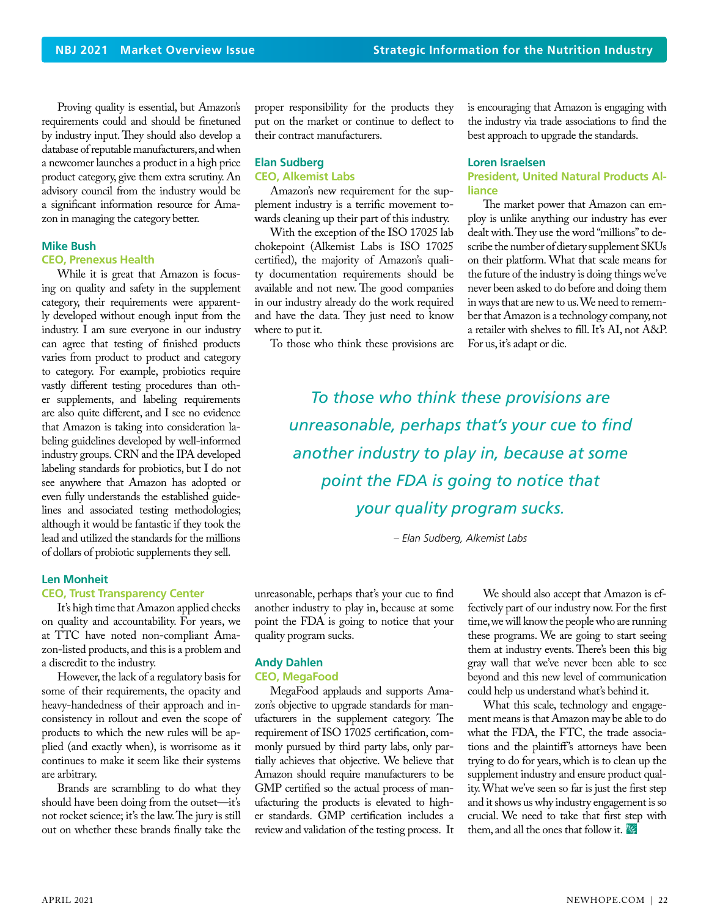Proving quality is essential, but Amazon's requirements could and should be finetuned by industry input. They should also develop a database of reputable manufacturers, and when a newcomer launches a product in a high price product category, give them extra scrutiny. An advisory council from the industry would be a significant information resource for Amazon in managing the category better.

#### **Mike Bush**

#### **CEO, Prenexus Health**

While it is great that Amazon is focusing on quality and safety in the supplement category, their requirements were apparently developed without enough input from the industry. I am sure everyone in our industry can agree that testing of finished products varies from product to product and category to category. For example, probiotics require vastly different testing procedures than other supplements, and labeling requirements are also quite different, and I see no evidence that Amazon is taking into consideration labeling guidelines developed by well-informed industry groups. CRN and the IPA developed labeling standards for probiotics, but I do not see anywhere that Amazon has adopted or even fully understands the established guidelines and associated testing methodologies; although it would be fantastic if they took the lead and utilized the standards for the millions of dollars of probiotic supplements they sell.

#### **Len Monheit**

#### **CEO, Trust Transparency Center**

It's high time that Amazon applied checks on quality and accountability. For years, we at TTC have noted non-compliant Amazon-listed products, and this is a problem and a discredit to the industry.

However, the lack of a regulatory basis for some of their requirements, the opacity and heavy-handedness of their approach and inconsistency in rollout and even the scope of products to which the new rules will be applied (and exactly when), is worrisome as it continues to make it seem like their systems are arbitrary.

Brands are scrambling to do what they should have been doing from the outset—it's not rocket science; it's the law. The jury is still out on whether these brands finally take the

proper responsibility for the products they put on the market or continue to deflect to their contract manufacturers.

#### **Elan Sudberg CEO, Alkemist Labs**

Amazon's new requirement for the supplement industry is a terrific movement towards cleaning up their part of this industry.

With the exception of the ISO 17025 lab chokepoint (Alkemist Labs is ISO 17025 certified), the majority of Amazon's quality documentation requirements should be available and not new. The good companies in our industry already do the work required and have the data. They just need to know where to put it.

To those who think these provisions are

is encouraging that Amazon is engaging with the industry via trade associations to find the best approach to upgrade the standards.

#### **Loren Israelsen**

#### **President, United Natural Products Alliance**

The market power that Amazon can employ is unlike anything our industry has ever dealt with. They use the word "millions" to describe the number of dietary supplement SKUs on their platform. What that scale means for the future of the industry is doing things we've never been asked to do before and doing them in ways that are new to us. We need to remember that Amazon is a technology company, not a retailer with shelves to fill. It's AI, not A&P. For us, it's adapt or die.

*To those who think these provisions are unreasonable, perhaps that's your cue to find another industry to play in, because at some point the FDA is going to notice that your quality program sucks.* 

*– Elan Sudberg, Alkemist Labs*

unreasonable, perhaps that's your cue to find another industry to play in, because at some point the FDA is going to notice that your quality program sucks.

#### **Andy Dahlen**

#### **CEO, MegaFood**

MegaFood applauds and supports Amazon's objective to upgrade standards for manufacturers in the supplement category. The requirement of ISO 17025 certification, commonly pursued by third party labs, only partially achieves that objective. We believe that Amazon should require manufacturers to be GMP certified so the actual process of manufacturing the products is elevated to higher standards. GMP certification includes a review and validation of the testing process. It

We should also accept that Amazon is effectively part of our industry now. For the first time, we will know the people who are running these programs. We are going to start seeing them at industry events. There's been this big gray wall that we've never been able to see beyond and this new level of communication could help us understand what's behind it.

What this scale, technology and engagement means is that Amazon may be able to do what the FDA, the FTC, the trade associations and the plaintiff's attorneys have been trying to do for years, which is to clean up the supplement industry and ensure product quality. What we've seen so far is just the first step and it shows us why industry engagement is so crucial. We need to take that first step with them, and all the ones that follow it.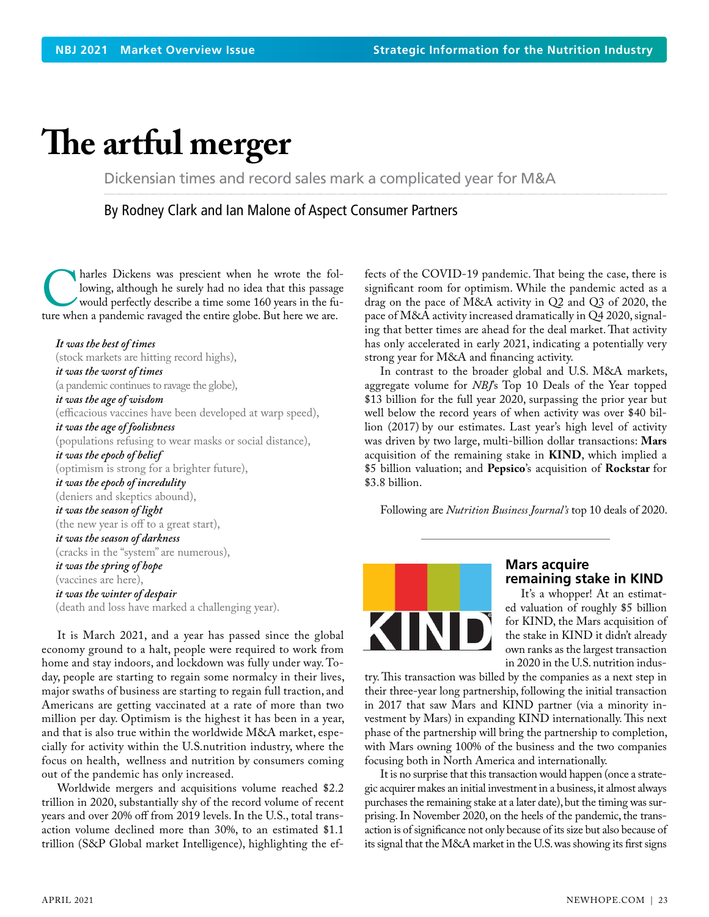## <span id="page-22-0"></span>**The artful merger**

Dickensian times and record sales mark a complicated year for M&A

By Rodney Clark and Ian Malone of Aspect Consumer Partners

harles Dickens was prescient when he wrote the fol-<br>lowing, although he surely had no idea that this passage<br>would perfectly describe a time some 160 years in the fu-<br>ture when a pandemic ravaged the entire globe. But here lowing, although he surely had no idea that this passage would perfectly describe a time some 160 years in the fu-

*It was the best of times* (stock markets are hitting record highs), *it was the worst of times*  (a pandemic continues to ravage the globe), *it was the age of wisdom*  (efficacious vaccines have been developed at warp speed), *it was the age of foolishness*  (populations refusing to wear masks or social distance), *it was the epoch of belief*  (optimism is strong for a brighter future), *it was the epoch of incredulity*  (deniers and skeptics abound), *it was the season of light*  (the new year is off to a great start), *it was the season of darkness*  (cracks in the "system" are numerous), *it was the spring of hope* (vaccines are here), *it was the winter of despair*  (death and loss have marked a challenging year).

It is March 2021, and a year has passed since the global economy ground to a halt, people were required to work from home and stay indoors, and lockdown was fully under way. Today, people are starting to regain some normalcy in their lives, major swaths of business are starting to regain full traction, and Americans are getting vaccinated at a rate of more than two million per day. Optimism is the highest it has been in a year, and that is also true within the worldwide M&A market, especially for activity within the U.S.nutrition industry, where the focus on health, wellness and nutrition by consumers coming out of the pandemic has only increased.

Worldwide mergers and acquisitions volume reached \$2.2 trillion in 2020, substantially shy of the record volume of recent years and over 20% off from 2019 levels. In the U.S., total transaction volume declined more than 30%, to an estimated \$1.1 trillion (S&P Global market Intelligence), highlighting the effects of the COVID-19 pandemic. That being the case, there is significant room for optimism. While the pandemic acted as a drag on the pace of M&A activity in Q2 and Q3 of 2020, the pace of M&A activity increased dramatically in Q4 2020, signaling that better times are ahead for the deal market. That activity has only accelerated in early 2021, indicating a potentially very strong year for M&A and financing activity.

In contrast to the broader global and U.S. M&A markets, aggregate volume for *NBJ*'s Top 10 Deals of the Year topped \$13 billion for the full year 2020, surpassing the prior year but well below the record years of when activity was over \$40 billion (2017) by our estimates. Last year's high level of activity was driven by two large, multi-billion dollar transactions: **Mars** acquisition of the remaining stake in **KIND**, which implied a \$5 billion valuation; and **Pepsico**'s acquisition of **Rockstar** for \$3.8 billion.

Following are *Nutrition Business Journal's* top 10 deals of 2020.



#### **Mars acquire remaining stake in KIND**

It's a whopper! At an estimated valuation of roughly \$5 billion for KIND, the Mars acquisition of the stake in KIND it didn't already own ranks as the largest transaction in 2020 in the U.S. nutrition indus-

try. This transaction was billed by the companies as a next step in their three-year long partnership, following the initial transaction in 2017 that saw Mars and KIND partner (via a minority investment by Mars) in expanding KIND internationally. This next phase of the partnership will bring the partnership to completion, with Mars owning 100% of the business and the two companies focusing both in North America and internationally.

It is no surprise that this transaction would happen (once a strategic acquirer makes an initial investment in a business, it almost always purchases the remaining stake at a later date), but the timing was surprising. In November 2020, on the heels of the pandemic, the transaction is of significance not only because of its size but also because of its signal that the M&A market in the U.S. was showing its first signs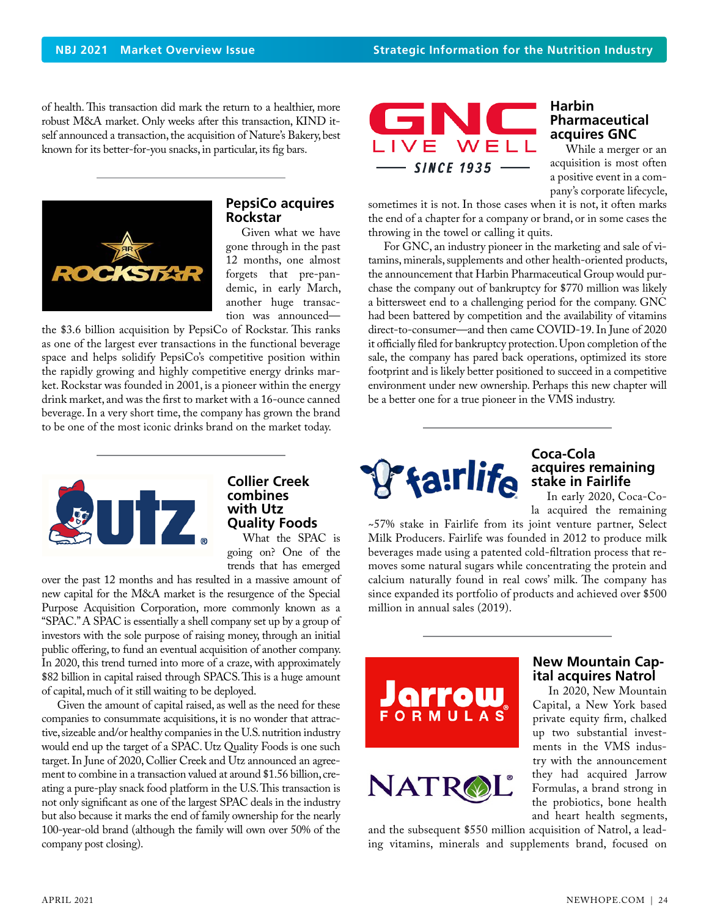of health. This transaction did mark the return to a healthier, more robust M&A market. Only weeks after this transaction, KIND itself announced a transaction, the acquisition of Nature's Bakery, best known for its better-for-you snacks, in particular, its fig bars.



#### **PepsiCo acquires Rockstar**

Given what we have gone through in the past 12 months, one almost forgets that pre-pandemic, in early March, another huge transaction was announced—

the \$3.6 billion acquisition by PepsiCo of Rockstar. This ranks as one of the largest ever transactions in the functional beverage space and helps solidify PepsiCo's competitive position within the rapidly growing and highly competitive energy drinks market. Rockstar was founded in 2001, is a pioneer within the energy drink market, and was the first to market with a 16-ounce canned beverage. In a very short time, the company has grown the brand to be one of the most iconic drinks brand on the market today.



#### **Harbin Pharmaceutical acquires GNC**

While a merger or an acquisition is most often a positive event in a company's corporate lifecycle,

sometimes it is not. In those cases when it is not, it often marks the end of a chapter for a company or brand, or in some cases the throwing in the towel or calling it quits.

For GNC, an industry pioneer in the marketing and sale of vitamins, minerals, supplements and other health-oriented products, the announcement that Harbin Pharmaceutical Group would purchase the company out of bankruptcy for \$770 million was likely a bittersweet end to a challenging period for the company. GNC had been battered by competition and the availability of vitamins direct-to-consumer—and then came COVID-19. In June of 2020 it officially filed for bankruptcy protection. Upon completion of the sale, the company has pared back operations, optimized its store footprint and is likely better positioned to succeed in a competitive environment under new ownership. Perhaps this new chapter will be a better one for a true pioneer in the VMS industry.



#### **Collier Creek combines with Utz Quality Foods**

What the SPAC is going on? One of the trends that has emerged

over the past 12 months and has resulted in a massive amount of new capital for the M&A market is the resurgence of the Special Purpose Acquisition Corporation, more commonly known as a "SPAC." A SPAC is essentially a shell company set up by a group of investors with the sole purpose of raising money, through an initial public offering, to fund an eventual acquisition of another company. In 2020, this trend turned into more of a craze, with approximately \$82 billion in capital raised through SPACS. This is a huge amount of capital, much of it still waiting to be deployed.

Given the amount of capital raised, as well as the need for these companies to consummate acquisitions, it is no wonder that attractive, sizeable and/or healthy companies in the U.S. nutrition industry would end up the target of a SPAC. Utz Quality Foods is one such target. In June of 2020, Collier Creek and Utz announced an agreement to combine in a transaction valued at around \$1.56 billion, creating a pure-play snack food platform in the U.S. This transaction is not only significant as one of the largest SPAC deals in the industry but also because it marks the end of family ownership for the nearly 100-year-old brand (although the family will own over 50% of the company post closing).



#### **Coca-Cola acquires remaining stake in Fairlife**

In early 2020, Coca-Cola acquired the remaining

~57% stake in Fairlife from its joint venture partner, Select Milk Producers. Fairlife was founded in 2012 to produce milk beverages made using a patented cold-filtration process that removes some natural sugars while concentrating the protein and calcium naturally found in real cows' milk. The company has since expanded its portfolio of products and achieved over \$500 million in annual sales (2019).





**New Mountain Capital acquires Natrol**

In 2020, New Mountain Capital, a New York based private equity firm, chalked up two substantial investments in the VMS industry with the announcement they had acquired Jarrow Formulas, a brand strong in the probiotics, bone health and heart health segments,

and the subsequent \$550 million acquisition of Natrol, a leading vitamins, minerals and supplements brand, focused on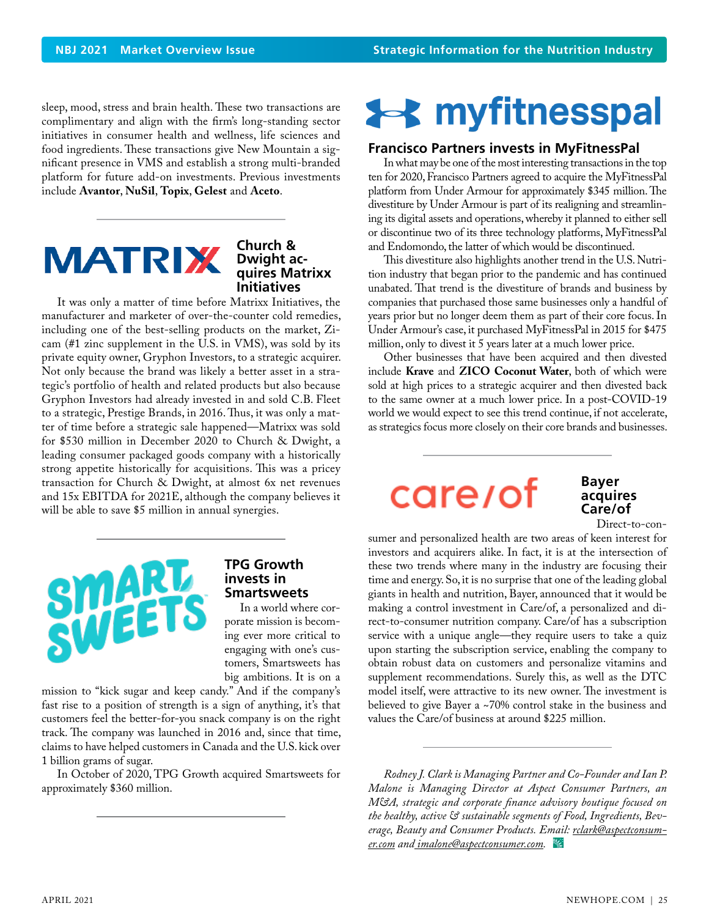sleep, mood, stress and brain health. These two transactions are complimentary and align with the firm's long-standing sector initiatives in consumer health and wellness, life sciences and food ingredients. These transactions give New Mountain a significant presence in VMS and establish a strong multi-branded platform for future add-on investments. Previous investments include **Avantor**, **NuSil**, **Topix**, **Gelest** and **Aceto**.



#### **Church & Dwight acquires Matrixx Initiatives**

It was only a matter of time before Matrixx Initiatives, the manufacturer and marketer of over-the-counter cold remedies, including one of the best-selling products on the market, Zicam (#1 zinc supplement in the U.S. in VMS), was sold by its private equity owner, Gryphon Investors, to a strategic acquirer. Not only because the brand was likely a better asset in a strategic's portfolio of health and related products but also because Gryphon Investors had already invested in and sold C.B. Fleet to a strategic, Prestige Brands, in 2016. Thus, it was only a matter of time before a strategic sale happened—Matrixx was sold for \$530 million in December 2020 to Church & Dwight, a leading consumer packaged goods company with a historically strong appetite historically for acquisitions. This was a pricey transaction for Church & Dwight, at almost 6x net revenues and 15x EBITDA for 2021E, although the company believes it will be able to save \$5 million in annual synergies.



#### **TPG Growth invests in Smartsweets**

In a world where corporate mission is becoming ever more critical to engaging with one's customers, Smartsweets has big ambitions. It is on a

mission to "kick sugar and keep candy." And if the company's fast rise to a position of strength is a sign of anything, it's that customers feel the better-for-you snack company is on the right track. The company was launched in 2016 and, since that time, claims to have helped customers in Canada and the U.S. kick over 1 billion grams of sugar.

In October of 2020, TPG Growth acquired Smartsweets for approximately \$360 million.

## \*\* myfitnesspal

#### **Francisco Partners invests in MyFitnessPal**

In what may be one of the most interesting transactions in the top ten for 2020, Francisco Partners agreed to acquire the MyFitnessPal platform from Under Armour for approximately \$345 million. The divestiture by Under Armour is part of its realigning and streamlining its digital assets and operations, whereby it planned to either sell or discontinue two of its three technology platforms, MyFitnessPal and Endomondo, the latter of which would be discontinued.

This divestiture also highlights another trend in the U.S. Nutrition industry that began prior to the pandemic and has continued unabated. That trend is the divestiture of brands and business by companies that purchased those same businesses only a handful of years prior but no longer deem them as part of their core focus. In Under Armour's case, it purchased MyFitnessPal in 2015 for \$475 million, only to divest it 5 years later at a much lower price.

Other businesses that have been acquired and then divested include **Krave** and **ZICO Coconut Water**, both of which were sold at high prices to a strategic acquirer and then divested back to the same owner at a much lower price. In a post-COVID-19 world we would expect to see this trend continue, if not accelerate, as strategics focus more closely on their core brands and businesses.

## care/of

#### **Bayer acquires Care/of**

Direct-to-con-

sumer and personalized health are two areas of keen interest for investors and acquirers alike. In fact, it is at the intersection of these two trends where many in the industry are focusing their time and energy. So, it is no surprise that one of the leading global giants in health and nutrition, Bayer, announced that it would be making a control investment in Care/of, a personalized and direct-to-consumer nutrition company. Care/of has a subscription service with a unique angle—they require users to take a quiz upon starting the subscription service, enabling the company to obtain robust data on customers and personalize vitamins and supplement recommendations. Surely this, as well as the DTC model itself, were attractive to its new owner. The investment is believed to give Bayer a ~70% control stake in the business and values the Care/of business at around \$225 million.

*Rodney J. Clark is Managing Partner and Co-Founder and Ian P. Malone is Managing Director at Aspect Consumer Partners, an M&A, strategic and corporate finance advisory boutique focused on the healthy, active & sustainable segments of Food, Ingredients, Beverage, Beauty and Consumer Products. Email: [rclark@aspectconsum](mailto:rclark@aspectconsumer.coma)[er.com](mailto:rclark@aspectconsumer.coma) and [imalone@aspectconsumer.com](mailto:imalone@aspectconsumer.com).*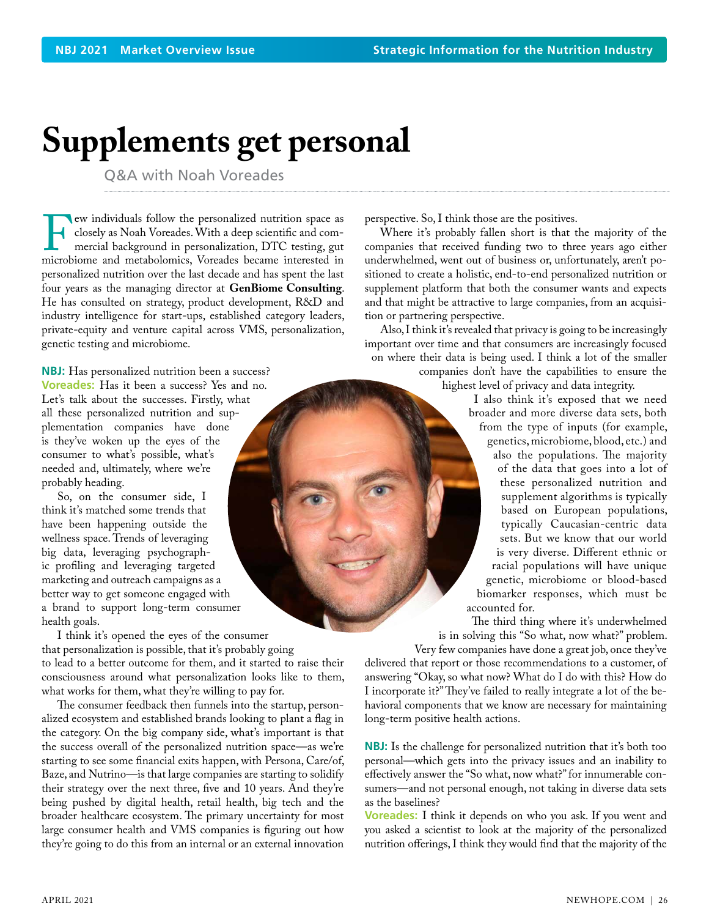## <span id="page-25-0"></span>**Supplements get personal**

Q&A with Noah Voreades

Few individuals follow the personalized nutrition space as closely as Noah Voreades. With a deep scientific and commercial background in personalization, DTC testing, gut microbiome and metabolomics, Voreades became intere closely as Noah Voreades. With a deep scientific and commercial background in personalization, DTC testing, gut personalized nutrition over the last decade and has spent the last four years as the managing director at **GenBiome Consulting**. He has consulted on strategy, product development, R&D and industry intelligence for start-ups, established category leaders, private-equity and venture capital across VMS, personalization, genetic testing and microbiome.

**NBJ:** Has personalized nutrition been a success? **Voreades:** Has it been a success? Yes and no. Let's talk about the successes. Firstly, what all these personalized nutrition and supplementation companies have done is they've woken up the eyes of the consumer to what's possible, what's needed and, ultimately, where we're probably heading.

So, on the consumer side, I think it's matched some trends that have been happening outside the wellness space. Trends of leveraging big data, leveraging psychographic profiling and leveraging targeted marketing and outreach campaigns as a better way to get someone engaged with a brand to support long-term consumer health goals.

I think it's opened the eyes of the consumer that personalization is possible, that it's probably going to lead to a better outcome for them, and it started to raise their consciousness around what personalization looks like to them, what works for them, what they're willing to pay for.

The consumer feedback then funnels into the startup, personalized ecosystem and established brands looking to plant a flag in the category. On the big company side, what's important is that the success overall of the personalized nutrition space—as we're starting to see some financial exits happen, with Persona, Care/of, Baze, and Nutrino—is that large companies are starting to solidify their strategy over the next three, five and 10 years. And they're being pushed by digital health, retail health, big tech and the broader healthcare ecosystem. The primary uncertainty for most large consumer health and VMS companies is figuring out how they're going to do this from an internal or an external innovation

perspective. So, I think those are the positives.

Where it's probably fallen short is that the majority of the companies that received funding two to three years ago either underwhelmed, went out of business or, unfortunately, aren't positioned to create a holistic, end-to-end personalized nutrition or supplement platform that both the consumer wants and expects and that might be attractive to large companies, from an acquisition or partnering perspective.

Also, I think it's revealed that privacy is going to be increasingly important over time and that consumers are increasingly focused on where their data is being used. I think a lot of the smaller

> companies don't have the capabilities to ensure the highest level of privacy and data integrity.

> > I also think it's exposed that we need broader and more diverse data sets, both from the type of inputs (for example, genetics, microbiome, blood, etc.) and also the populations. The majority of the data that goes into a lot of these personalized nutrition and supplement algorithms is typically based on European populations, typically Caucasian-centric data sets. But we know that our world is very diverse. Different ethnic or racial populations will have unique genetic, microbiome or blood-based biomarker responses, which must be accounted for.

The third thing where it's underwhelmed is in solving this "So what, now what?" problem.

Very few companies have done a great job, once they've delivered that report or those recommendations to a customer, of answering "Okay, so what now? What do I do with this? How do I incorporate it?" They've failed to really integrate a lot of the behavioral components that we know are necessary for maintaining long-term positive health actions.

**NBJ:** Is the challenge for personalized nutrition that it's both too personal—which gets into the privacy issues and an inability to effectively answer the "So what, now what?" for innumerable consumers—and not personal enough, not taking in diverse data sets as the baselines?

**Voreades:** I think it depends on who you ask. If you went and you asked a scientist to look at the majority of the personalized nutrition offerings, I think they would find that the majority of the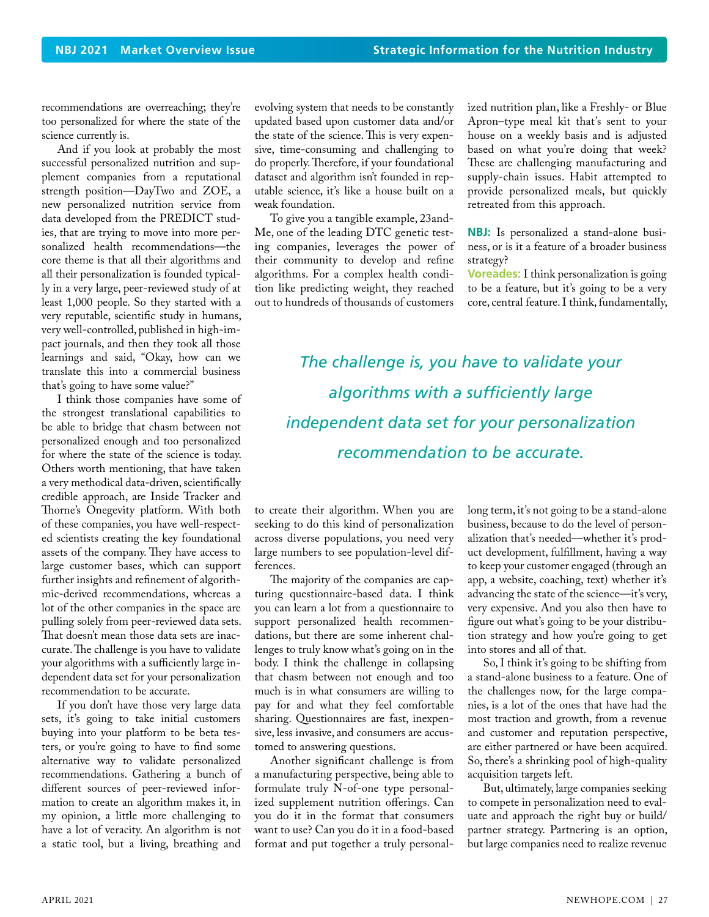recommendations are overreaching; they're too personalized for where the state of the science currently is.

And if you look at probably the most successful personalized nutrition and supplement companies from a reputational strength position—DayTwo and ZOE, a new personalized nutrition service from data developed from the PREDICT studies, that are trying to move into more personalized health recommendations—the core theme is that all their algorithms and all their personalization is founded typically in a very large, peer-reviewed study of at least 1,000 people. So they started with a very reputable, scientific study in humans, very well-controlled, published in high-impact journals, and then they took all those learnings and said, "Okay, how can we translate this into a commercial business that's going to have some value?"

I think those companies have some of the strongest translational capabilities to be able to bridge that chasm between not personalized enough and too personalized for where the state of the science is today. Others worth mentioning, that have taken a very methodical data-driven, scientifically credible approach, are Inside Tracker and Thorne's Onegevity platform. With both of these companies, you have well-respected scientists creating the key foundational assets of the company. They have access to large customer bases, which can support further insights and refinement of algorithmic-derived recommendations, whereas a lot of the other companies in the space are pulling solely from peer-reviewed data sets. That doesn't mean those data sets are inaccurate. The challenge is you have to validate your algorithms with a sufficiently large independent data set for your personalization recommendation to be accurate.

If you don't have those very large data sets, it's going to take initial customers buying into your platform to be beta testers, or you're going to have to find some alternative way to validate personalized recommendations. Gathering a bunch of different sources of peer-reviewed information to create an algorithm makes it, in my opinion, a little more challenging to have a lot of veracity. An algorithm is not a static tool, but a living, breathing and

evolving system that needs to be constantly updated based upon customer data and/or the state of the science. This is very expensive, time-consuming and challenging to do properly. Therefore, if your foundational dataset and algorithm isn't founded in reputable science, it's like a house built on a weak foundation.

To give you a tangible example, 23and-Me, one of the leading DTC genetic testing companies, leverages the power of their community to develop and refine algorithms. For a complex health condition like predicting weight, they reached out to hundreds of thousands of customers ized nutrition plan, like a Freshly- or Blue Apron–type meal kit that's sent to your house on a weekly basis and is adjusted based on what you're doing that week? These are challenging manufacturing and supply-chain issues. Habit attempted to provide personalized meals, but quickly retreated from this approach.

**NBJ:** Is personalized a stand-alone business, or is it a feature of a broader business strategy?

**Voreades:** I think personalization is going to be a feature, but it's going to be a very core, central feature. I think, fundamentally,

*The challenge is, you have to validate your algorithms with a sufficiently large independent data set for your personalization recommendation to be accurate.*

to create their algorithm. When you are seeking to do this kind of personalization across diverse populations, you need very large numbers to see population-level differences.

The majority of the companies are capturing questionnaire-based data. I think you can learn a lot from a questionnaire to support personalized health recommendations, but there are some inherent challenges to truly know what's going on in the body. I think the challenge in collapsing that chasm between not enough and too much is in what consumers are willing to pay for and what they feel comfortable sharing. Questionnaires are fast, inexpensive, less invasive, and consumers are accustomed to answering questions.

Another significant challenge is from a manufacturing perspective, being able to formulate truly N-of-one type personalized supplement nutrition offerings. Can you do it in the format that consumers want to use? Can you do it in a food-based format and put together a truly personallong term, it's not going to be a stand-alone business, because to do the level of personalization that's needed—whether it's product development, fulfillment, having a way to keep your customer engaged (through an app, a website, coaching, text) whether it's advancing the state of the science—it's very, very expensive. And you also then have to figure out what's going to be your distribution strategy and how you're going to get into stores and all of that.

So, I think it's going to be shifting from a stand-alone business to a feature. One of the challenges now, for the large companies, is a lot of the ones that have had the most traction and growth, from a revenue and customer and reputation perspective, are either partnered or have been acquired. So, there's a shrinking pool of high-quality acquisition targets left.

But, ultimately, large companies seeking to compete in personalization need to evaluate and approach the right buy or build/ partner strategy. Partnering is an option, but large companies need to realize revenue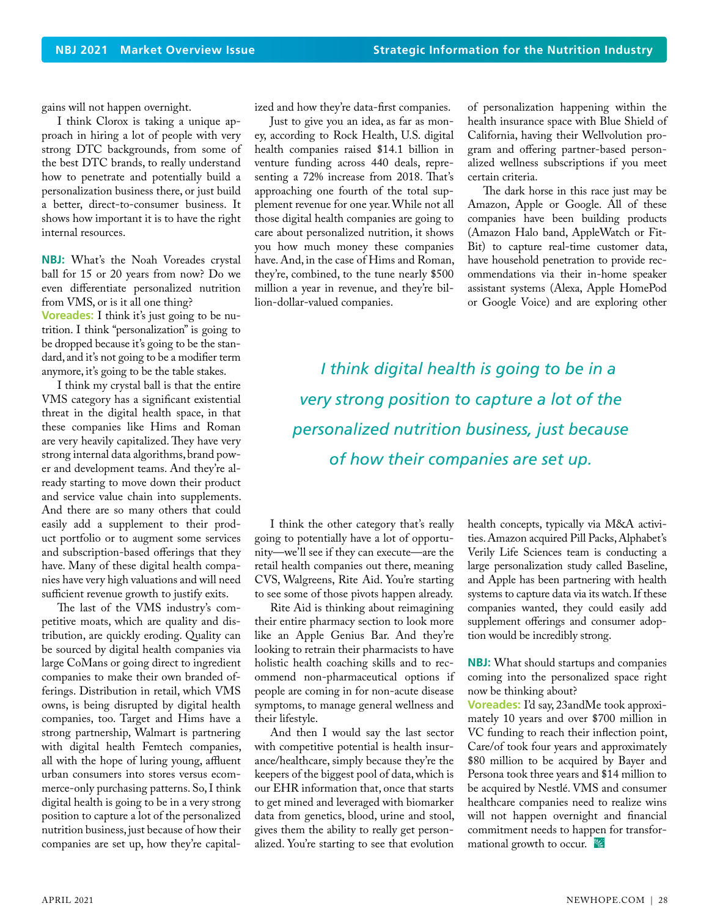gains will not happen overnight.

I think Clorox is taking a unique approach in hiring a lot of people with very strong DTC backgrounds, from some of the best DTC brands, to really understand how to penetrate and potentially build a personalization business there, or just build a better, direct-to-consumer business. It shows how important it is to have the right internal resources.

**NBJ:** What's the Noah Voreades crystal ball for 15 or 20 years from now? Do we even differentiate personalized nutrition from VMS, or is it all one thing? **Voreades:** I think it's just going to be nutrition. I think "personalization" is going to be dropped because it's going to be the standard, and it's not going to be a modifier term anymore, it's going to be the table stakes.

I think my crystal ball is that the entire VMS category has a significant existential threat in the digital health space, in that these companies like Hims and Roman are very heavily capitalized. They have very strong internal data algorithms, brand power and development teams. And they're already starting to move down their product and service value chain into supplements. And there are so many others that could easily add a supplement to their product portfolio or to augment some services and subscription-based offerings that they have. Many of these digital health companies have very high valuations and will need sufficient revenue growth to justify exits.

The last of the VMS industry's competitive moats, which are quality and distribution, are quickly eroding. Quality can be sourced by digital health companies via large CoMans or going direct to ingredient companies to make their own branded offerings. Distribution in retail, which VMS owns, is being disrupted by digital health companies, too. Target and Hims have a strong partnership, Walmart is partnering with digital health Femtech companies, all with the hope of luring young, affluent urban consumers into stores versus ecommerce-only purchasing patterns. So, I think digital health is going to be in a very strong position to capture a lot of the personalized nutrition business, just because of how their companies are set up, how they're capitalized and how they're data-first companies.

Just to give you an idea, as far as money, according to Rock Health, U.S. digital health companies raised \$14.1 billion in venture funding across 440 deals, representing a 72% increase from 2018. That's approaching one fourth of the total supplement revenue for one year. While not all those digital health companies are going to care about personalized nutrition, it shows you how much money these companies have. And, in the case of Hims and Roman, they're, combined, to the tune nearly \$500 million a year in revenue, and they're billion-dollar-valued companies.

of personalization happening within the health insurance space with Blue Shield of California, having their Wellvolution program and offering partner-based personalized wellness subscriptions if you meet certain criteria.

The dark horse in this race just may be Amazon, Apple or Google. All of these companies have been building products (Amazon Halo band, AppleWatch or Fit-Bit) to capture real-time customer data, have household penetration to provide recommendations via their in-home speaker assistant systems (Alexa, Apple HomePod or Google Voice) and are exploring other

*I think digital health is going to be in a very strong position to capture a lot of the personalized nutrition business, just because of how their companies are set up.*

I think the other category that's really going to potentially have a lot of opportunity—we'll see if they can execute—are the retail health companies out there, meaning CVS, Walgreens, Rite Aid. You're starting to see some of those pivots happen already.

Rite Aid is thinking about reimagining their entire pharmacy section to look more like an Apple Genius Bar. And they're looking to retrain their pharmacists to have holistic health coaching skills and to recommend non-pharmaceutical options if people are coming in for non-acute disease symptoms, to manage general wellness and their lifestyle.

And then I would say the last sector with competitive potential is health insurance/healthcare, simply because they're the keepers of the biggest pool of data, which is our EHR information that, once that starts to get mined and leveraged with biomarker data from genetics, blood, urine and stool, gives them the ability to really get personalized. You're starting to see that evolution

health concepts, typically via M&A activities. Amazon acquired Pill Packs, Alphabet's Verily Life Sciences team is conducting a large personalization study called Baseline, and Apple has been partnering with health systems to capture data via its watch. If these companies wanted, they could easily add supplement offerings and consumer adoption would be incredibly strong.

**NBJ:** What should startups and companies coming into the personalized space right now be thinking about?

**Voreades:** I'd say, 23andMe took approximately 10 years and over \$700 million in VC funding to reach their inflection point, Care/of took four years and approximately \$80 million to be acquired by Bayer and Persona took three years and \$14 million to be acquired by Nestlé. VMS and consumer healthcare companies need to realize wins will not happen overnight and financial commitment needs to happen for transformational growth to occur.